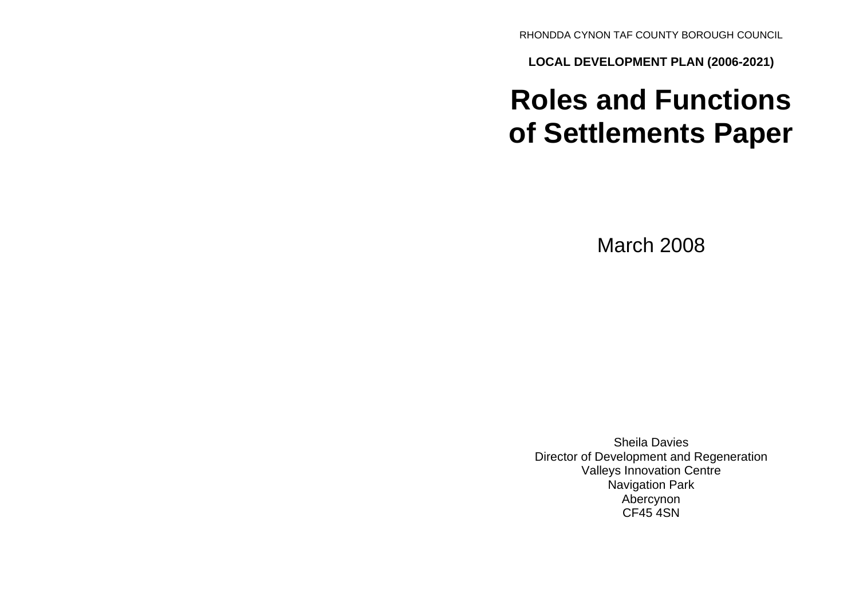RHONDDA CYNON TAF COUNTY BOROUGH COUNCIL

**LOCAL DEVELOPMENT PLAN (2006-2021)**

# **Roles and Functions of Settlements Paper**

March 2008

Sheila Davies Director of Development and Regeneration Valleys Innovation Centre Navigation Park Abercynon CF45 4SN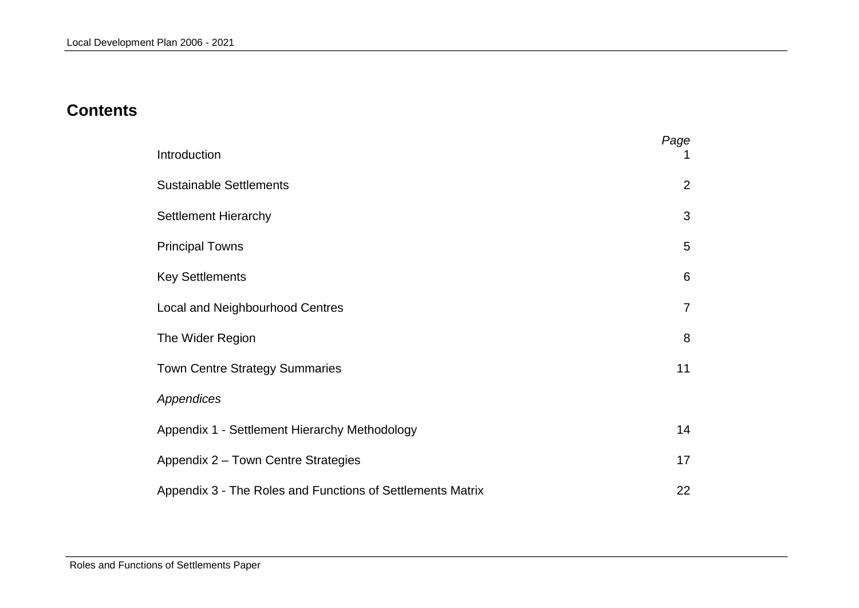# **Contents**

| Introduction                                               | Page<br>1      |
|------------------------------------------------------------|----------------|
| <b>Sustainable Settlements</b>                             | 2              |
| <b>Settlement Hierarchy</b>                                | 3              |
| <b>Principal Towns</b>                                     | 5              |
| <b>Key Settlements</b>                                     | 6              |
| <b>Local and Neighbourhood Centres</b>                     | $\overline{7}$ |
| The Wider Region                                           | 8              |
| <b>Town Centre Strategy Summaries</b>                      | 11             |
| Appendices                                                 |                |
| Appendix 1 - Settlement Hierarchy Methodology              | 14             |
| Appendix 2 - Town Centre Strategies                        | 17             |
| Appendix 3 - The Roles and Functions of Settlements Matrix | 22             |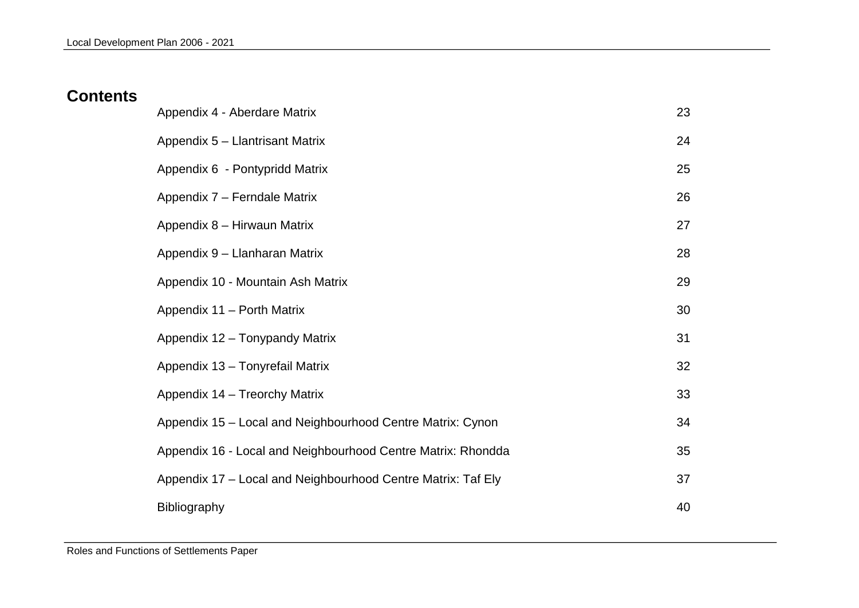# **Contents**

| Appendix 4 - Aberdare Matrix                                 | 23 |
|--------------------------------------------------------------|----|
| Appendix 5 - Llantrisant Matrix                              | 24 |
| Appendix 6 - Pontypridd Matrix                               | 25 |
| Appendix 7 - Ferndale Matrix                                 | 26 |
| Appendix 8 - Hirwaun Matrix                                  | 27 |
| Appendix 9 - Llanharan Matrix                                | 28 |
| Appendix 10 - Mountain Ash Matrix                            | 29 |
| Appendix 11 - Porth Matrix                                   | 30 |
| Appendix 12 - Tonypandy Matrix                               | 31 |
| Appendix 13 - Tonyrefail Matrix                              | 32 |
| Appendix 14 - Treorchy Matrix                                | 33 |
| Appendix 15 - Local and Neighbourhood Centre Matrix: Cynon   | 34 |
| Appendix 16 - Local and Neighbourhood Centre Matrix: Rhondda | 35 |
| Appendix 17 - Local and Neighbourhood Centre Matrix: Taf Ely | 37 |
| Bibliography                                                 | 40 |

Roles and Functions of Settlements Paper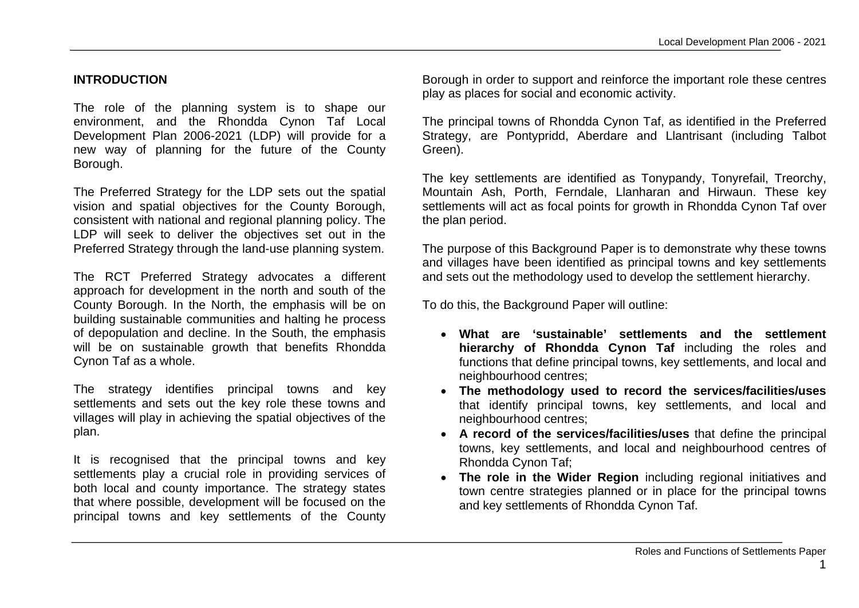#### **INTRODUCTION**

The role of the planning system is to shape our environment, and the Rhondda Cynon Taf Local Development Plan 2006-2021 (LDP) will provide for a new way of planning for the future of the County Borough.

The Preferred Strategy for the LDP sets out the spatial vision and spatial objectives for the County Borough, consistent with national and regional planning policy. The LDP will seek to deliver the objectives set out in the Preferred Strategy through the land-use planning system.

The RCT Preferred Strategy advocates a different approach for development in the north and south of the County Borough. In the North, the emphasis will be on building sustainable communities and halting he process of depopulation and decline. In the South, the emphasis will be on sustainable growth that benefits Rhondda Cynon Taf as a whole.

The strategy identifies principal towns and key settlements and sets out the key role these towns and villages will play in achieving the spatial objectives of the plan.

It is recognised that the principal towns and key settlements play a crucial role in providing services of both local and county importance. The strategy states that where possible, development will be focused on the principal towns and key settlements of the County

Borough in order to support and reinforce the important role these centres play as places for social and economic activity.

The principal towns of Rhondda Cynon Taf, as identified in the Preferred Strategy, are Pontypridd, Aberdare and Llantrisant (including Talbot Green).

The key settlements are identified as Tonypandy, Tonyrefail, Treorchy, Mountain Ash, Porth, Ferndale, Llanharan and Hirwaun. These key settlements will act as focal points for growth in Rhondda Cynon Taf over the plan period.

The purpose of this Background Paper is to demonstrate why these towns and villages have been identified as principal towns and key settlements and sets out the methodology used to develop the settlement hierarchy.

To do this, the Background Paper will outline:

- **What are 'sustainable' settlements and the settlement hierarchy of Rhondda Cynon Taf** including the roles and functions that define principal towns, key settlements, and local and neighbourhood centres;
- **The methodology used to record the services/facilities/uses** that identify principal towns, key settlements, and local and neighbourhood centres;
- **A record of the services/facilities/uses** that define the principal towns, key settlements, and local and neighbourhood centres of Rhondda Cynon Taf;
- **The role in the Wider Region** including regional initiatives and town centre strategies planned or in place for the principal towns and key settlements of Rhondda Cynon Taf.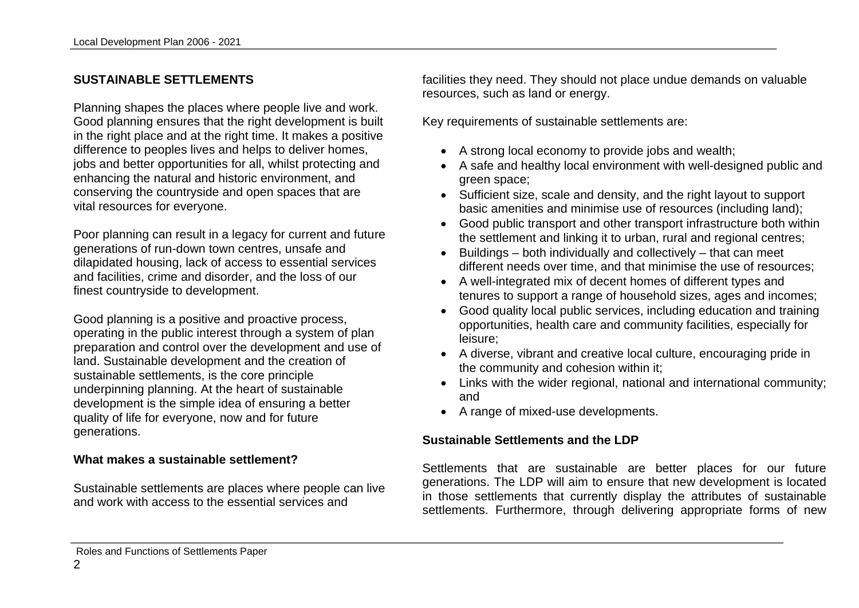#### **SUSTAINABLE SETTLEMENTS**

Planning shapes the places where people live and work. Good planning ensures that the right development is built in the right place and at the right time. It makes a positive difference to peoples lives and helps to deliver homes, jobs and better opportunities for all, whilst protecting and enhancing the natural and historic environment, and conserving the countryside and open spaces that are vital resources for everyone.

Poor planning can result in a legacy for current and future generations of run-down town centres, unsafe and dilapidated housing, lack of access to essential services and facilities, crime and disorder, and the loss of our finest countryside to development.

Good planning is a positive and proactive process, operating in the public interest through a system of plan preparation and control over the development and use of land. Sustainable development and the creation of sustainable settlements, is the core principle underpinning planning. At the heart of sustainable development is the simple idea of ensuring a better quality of life for everyone, now and for future generations.

#### **What makes a sustainable settlement?**

Sustainable settlements are places where people can live and work with access to the essential services and

facilities they need. They should not place undue demands on valuable resources, such as land or energy.

Key requirements of sustainable settlements are:

- A strong local economy to provide jobs and wealth;
- A safe and healthy local environment with well-designed public and green space;
- Sufficient size, scale and density, and the right layout to support basic amenities and minimise use of resources (including land);
- Good public transport and other transport infrastructure both within the settlement and linking it to urban, rural and regional centres;
- $\bullet$  Buildings both individually and collectively that can meet different needs over time, and that minimise the use of resources;
- A well-integrated mix of decent homes of different types and tenures to support a range of household sizes, ages and incomes;
- Good quality local public services, including education and training opportunities, health care and community facilities, especially for leisure;
- A diverse, vibrant and creative local culture, encouraging pride in the community and cohesion within it;
- Links with the wider regional, national and international community; and
- A range of mixed-use developments.

#### **Sustainable Settlements and the LDP**

Settlements that are sustainable are better places for our future generations. The LDP will aim to ensure that new development is located in those settlements that currently display the attributes of sustainable settlements. Furthermore, through delivering appropriate forms of new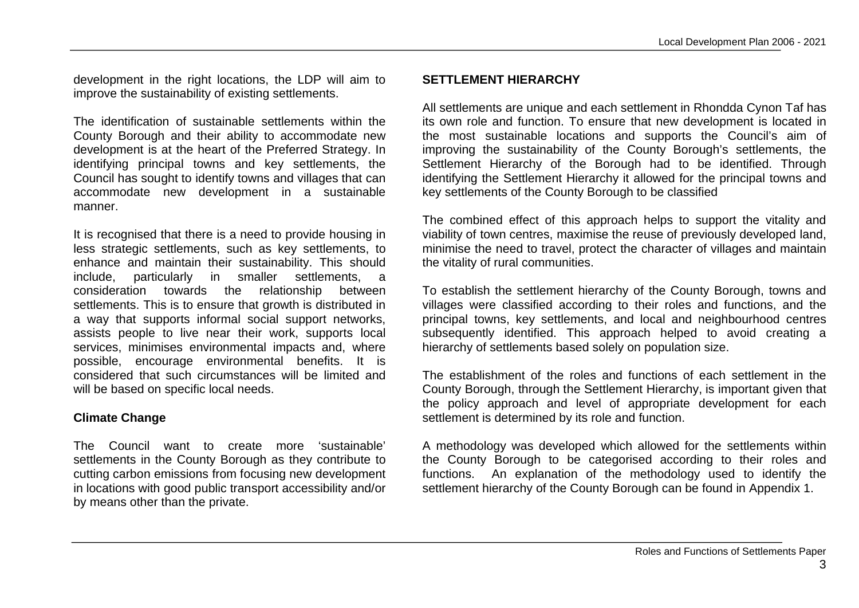development in the right locations, the LDP will aim to improve the sustainability of existing settlements.

The identification of sustainable settlements within the County Borough and their ability to accommodate new development is at the heart of the Preferred Strategy. In identifying principal towns and key settlements, the Council has sought to identify towns and villages that can accommodate new development in a sustainable manner.

It is recognised that there is a need to provide housing in less strategic settlements, such as key settlements, to enhance and maintain their sustainability. This should include, particularly in smaller settlements, a consideration towards the relationship between settlements. This is to ensure that growth is distributed in a way that supports informal social support networks, assists people to live near their work, supports local services, minimises environmental impacts and, where possible, encourage environmental benefits. It is considered that such circumstances will be limited and will be based on specific local needs.

#### **Climate Change**

The Council want to create more 'sustainable' settlements in the County Borough as they contribute to cutting carbon emissions from focusing new development in locations with good public transport accessibility and/or by means other than the private.

#### **SETTI EMENT HIERARCHY**

All settlements are unique and each settlement in Rhondda Cynon Taf has its own role and function. To ensure that new development is located in the most sustainable locations and supports the Council's aim of improving the sustainability of the County Borough's settlements, the Settlement Hierarchy of the Borough had to be identified. Through identifying the Settlement Hierarchy it allowed for the principal towns and key settlements of the County Borough to be classified

The combined effect of this approach helps to support the vitality and viability of town centres, maximise the reuse of previously developed land, minimise the need to travel, protect the character of villages and maintain the vitality of rural communities.

To establish the settlement hierarchy of the County Borough, towns and villages were classified according to their roles and functions, and the principal towns, key settlements, and local and neighbourhood centres subsequently identified. This approach helped to avoid creating a hierarchy of settlements based solely on population size.

The establishment of the roles and functions of each settlement in the County Borough, through the Settlement Hierarchy, is important given that the policy approach and level of appropriate development for each settlement is determined by its role and function.

A methodology was developed which allowed for the settlements within the County Borough to be categorised according to their roles and functions. An explanation of the methodology used to identify the settlement hierarchy of the County Borough can be found in Appendix 1.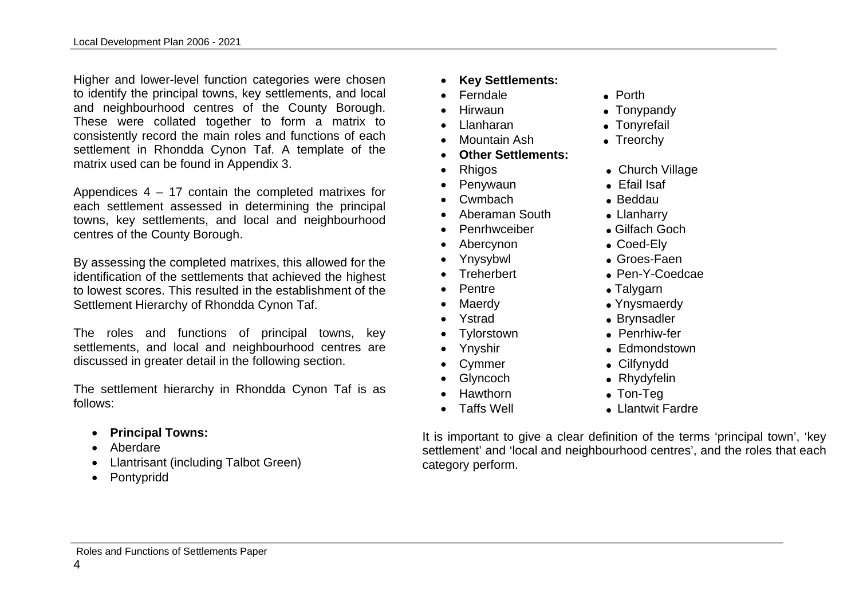Higher and lower-level function categories were chosen to identify the principal towns, key settlements, and local and neighbourhood centres of the County Borough. These were collated together to form a matrix to consistently record the main roles and functions of each settlement in Rhondda Cynon Taf. A template of the matrix used can be found in Appendix 3.

Appendices 4 – 17 contain the completed matrixes for each settlement assessed in determining the principal towns, key settlements, and local and neighbourhood centres of the County Borough.

By assessing the completed matrixes, this allowed for the identification of the settlements that achieved the highest to lowest scores. This resulted in the establishment of the Settlement Hierarchy of Rhondda Cynon Taf.

The roles and functions of principal towns, key settlements, and local and neighbourhood centres are discussed in greater detail in the following section.

The settlement hierarchy in Rhondda Cynon Taf is as follows:

- **Principal Towns:**
- Aberdare
- Llantrisant (including Talbot Green)
- Pontypridd
- **Key Settlements:**
- Ferndale **Contract Contract Porth**
- 
- Llanharan **Calcular** Tonyrefail
- Mountain Ash **Canada Exerchy**
- **Other Settlements:**
- 
- Penywaun Efail Isaf
- Cwmbach Beddau
- Aberaman South . Llanharry
- Penrhwceiber Gilfach Goch
- 
- 
- 
- 
- 
- 
- 
- 
- 
- 
- 
- 
- 
- Hirwaun  **Tonypandy** 
	-
	-
- Rhigos **Church Village** 
	-
	-
	-
	-
	- Abercynon **Coed-Ely**
	- Ynysybwl Groes-Faen
- Treherbert Pen-Y-Coedcae
	- Pentre **and Francisch Falygarn**
	- Maerdy **Canadian Control** Maerdy **Canadian Control Material America** Ynysmaerdy
- Ystrad **•** Brynsadler
	- Tylorstown  **Penrhiw-fer**
	- Ynyshir **Communisty Communisty** Edmondstown
- Cymmer Cilfynydd
- Glyncoch  **Rhydyfelin**
- Hawthorn Ton-Teg
- Taffs Well **Contract Contract Contract Contract Contract Contract Contract Contract Contract Contract Contract Contract Contract Contract Contract Contract Contract Contract Contract Contract Contract Contract Contract C**

It is important to give a clear definition of the terms 'principal town', 'key settlement' and 'local and neighbourhood centres', and the roles that each category perform.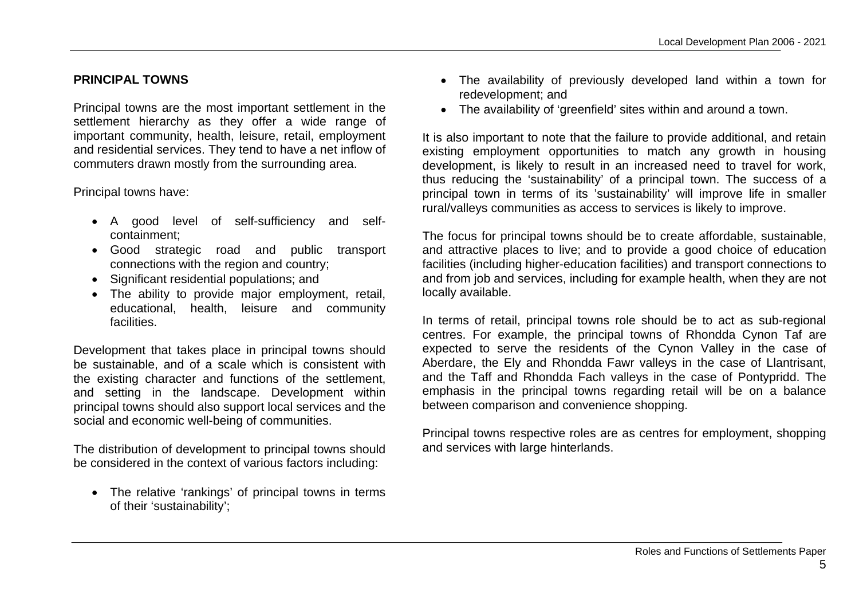#### **PRINCIPAL TOWNS**

Principal towns are the most important settlement in the settlement hierarchy as they offer a wide range of important community, health, leisure, retail, employment and residential services. They tend to have a net inflow of commuters drawn mostly from the surrounding area.

#### Principal towns have:

- A good level of self-sufficiency and selfcontainment;
- Good strategic road and public transport connections with the region and country;
- Significant residential populations; and
- The ability to provide major employment, retail, educational, health, leisure and community facilities.

Development that takes place in principal towns should be sustainable, and of a scale which is consistent with the existing character and functions of the settlement, and setting in the landscape. Development within principal towns should also support local services and the social and economic well-being of communities.

The distribution of development to principal towns should be considered in the context of various factors including:

• The relative 'rankings' of principal towns in terms of their 'sustainability';

- The availability of previously developed land within a town for redevelopment; and
- The availability of 'greenfield' sites within and around a town.

It is also important to note that the failure to provide additional, and retain existing employment opportunities to match any growth in housing development, is likely to result in an increased need to travel for work, thus reducing the 'sustainability' of a principal town. The success of a principal town in terms of its 'sustainability' will improve life in smaller rural/valleys communities as access to services is likely to improve.

The focus for principal towns should be to create affordable, sustainable, and attractive places to live; and to provide a good choice of education facilities (including higher-education facilities) and transport connections to and from job and services, including for example health, when they are not locally available.

In terms of retail, principal towns role should be to act as sub-regional centres. For example, the principal towns of Rhondda Cynon Taf are expected to serve the residents of the Cynon Valley in the case of Aberdare, the Ely and Rhondda Fawr valleys in the case of Llantrisant, and the Taff and Rhondda Fach valleys in the case of Pontypridd. The emphasis in the principal towns regarding retail will be on a balance between comparison and convenience shopping.

Principal towns respective roles are as centres for employment, shopping and services with large hinterlands.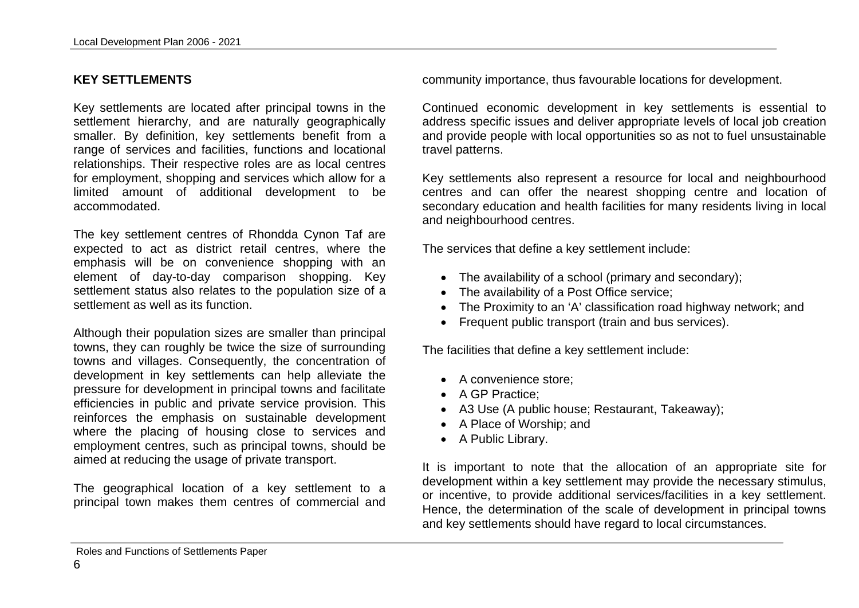#### **KEY SETTLEMENTS**

Key settlements are located after principal towns in the settlement hierarchy, and are naturally geographically smaller. By definition, key settlements benefit from a range of services and facilities, functions and locational relationships. Their respective roles are as local centres for employment, shopping and services which allow for a limited amount of additional development to be accommodated.

The key settlement centres of Rhondda Cynon Taf are expected to act as district retail centres, where the emphasis will be on convenience shopping with an element of day-to-day comparison shopping. Key settlement status also relates to the population size of a settlement as well as its function.

Although their population sizes are smaller than principal towns, they can roughly be twice the size of surrounding towns and villages. Consequently, the concentration of development in key settlements can help alleviate the pressure for development in principal towns and facilitate efficiencies in public and private service provision. This reinforces the emphasis on sustainable development where the placing of housing close to services and employment centres, such as principal towns, should be aimed at reducing the usage of private transport.

The geographical location of a key settlement to a principal town makes them centres of commercial and community importance, thus favourable locations for development.

Continued economic development in key settlements is essential to address specific issues and deliver appropriate levels of local job creation and provide people with local opportunities so as not to fuel unsustainable travel patterns.

Key settlements also represent a resource for local and neighbourhood centres and can offer the nearest shopping centre and location of secondary education and health facilities for many residents living in local and neighbourhood centres.

The services that define a key settlement include:

- The availability of a school (primary and secondary);
- The availability of a Post Office service;
- The Proximity to an 'A' classification road highway network; and
- Frequent public transport (train and bus services).

The facilities that define a key settlement include:

- A convenience store:
- A GP Practice;
- A3 Use (A public house; Restaurant, Takeaway);
- A Place of Worship; and
- A Public Library.

It is important to note that the allocation of an appropriate site for development within a key settlement may provide the necessary stimulus, or incentive, to provide additional services/facilities in a key settlement. Hence, the determination of the scale of development in principal towns and key settlements should have regard to local circumstances.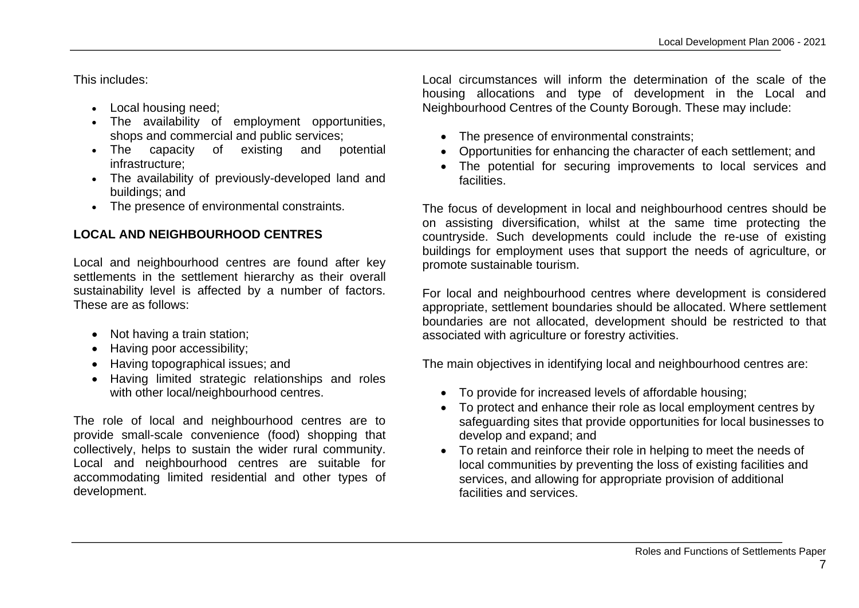This includes:

- Local housing need;
- The availability of employment opportunities, shops and commercial and public services;
- The capacity of existing and potential infrastructure;
- The availability of previously-developed land and buildings; and
- The presence of environmental constraints.

## **LOCAL AND NEIGHBOURHOOD CENTRES**

Local and neighbourhood centres are found after key settlements in the settlement hierarchy as their overall sustainability level is affected by a number of factors. These are as follows:

- Not having a train station;
- Having poor accessibility;
- Having topographical issues; and
- Having limited strategic relationships and roles with other local/neighbourhood centres.

The role of local and neighbourhood centres are to provide small-scale convenience (food) shopping that collectively, helps to sustain the wider rural community. Local and neighbourhood centres are suitable for accommodating limited residential and other types of development.

Local circumstances will inform the determination of the scale of the housing allocations and type of development in the Local and Neighbourhood Centres of the County Borough. These may include:

- The presence of environmental constraints;
- Opportunities for enhancing the character of each settlement; and
- The potential for securing improvements to local services and facilities.

The focus of development in local and neighbourhood centres should be on assisting diversification, whilst at the same time protecting the countryside. Such developments could include the re-use of existing buildings for employment uses that support the needs of agriculture, or promote sustainable tourism.

For local and neighbourhood centres where development is considered appropriate, settlement boundaries should be allocated. Where settlement boundaries are not allocated, development should be restricted to that associated with agriculture or forestry activities.

The main objectives in identifying local and neighbourhood centres are:

- To provide for increased levels of affordable housing;
- To protect and enhance their role as local employment centres by safeguarding sites that provide opportunities for local businesses to develop and expand; and
- To retain and reinforce their role in helping to meet the needs of local communities by preventing the loss of existing facilities and services, and allowing for appropriate provision of additional facilities and services.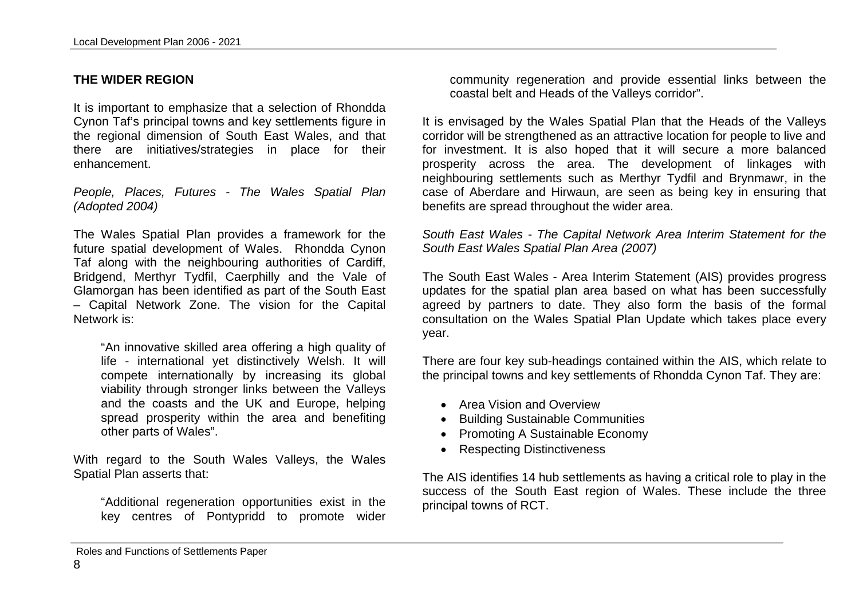#### **THE WIDER REGION**

It is important to emphasize that a selection of Rhondda Cynon Taf's principal towns and key settlements figure in the regional dimension of South East Wales, and that there are initiatives/strategies in place for their enhancement.

*People, Places, Futures - The Wales Spatial Plan (Adopted 2004)*

The Wales Spatial Plan provides a framework for the future spatial development of Wales. Rhondda Cynon Taf along with the neighbouring authorities of Cardiff, Bridgend, Merthyr Tydfil, Caerphilly and the Vale of Glamorgan has been identified as part of the South East – Capital Network Zone. The vision for the Capital Network is:

"An innovative skilled area offering a high quality of life - international yet distinctively Welsh. It will compete internationally by increasing its global viability through stronger links between the Valleys and the coasts and the UK and Europe, helping spread prosperity within the area and benefiting other parts of Wales".

With regard to the South Wales Valleys, the Wales Spatial Plan asserts that:

"Additional regeneration opportunities exist in the key centres of Pontypridd to promote wider community regeneration and provide essential links between the coastal belt and Heads of the Valleys corridor".

It is envisaged by the Wales Spatial Plan that the Heads of the Valleys corridor will be strengthened as an attractive location for people to live and for investment. It is also hoped that it will secure a more balanced prosperity across the area. The development of linkages with neighbouring settlements such as Merthyr Tydfil and Brynmawr, in the case of Aberdare and Hirwaun, are seen as being key in ensuring that benefits are spread throughout the wider area.

#### *South East Wales - The Capital Network Area Interim Statement for the South East Wales Spatial Plan Area (2007)*

The South East Wales - Area Interim Statement (AIS) provides progress updates for the spatial plan area based on what has been successfully agreed by partners to date. They also form the basis of the formal consultation on the Wales Spatial Plan Update which takes place every year.

There are four key sub-headings contained within the AIS, which relate to the principal towns and key settlements of Rhondda Cynon Taf. They are:

- Area Vision and Overview
- **•** Building Sustainable Communities
- Promoting A Sustainable Economy
- Respecting Distinctiveness

The AIS identifies 14 hub settlements as having a critical role to play in the success of the South East region of Wales. These include the three principal towns of RCT.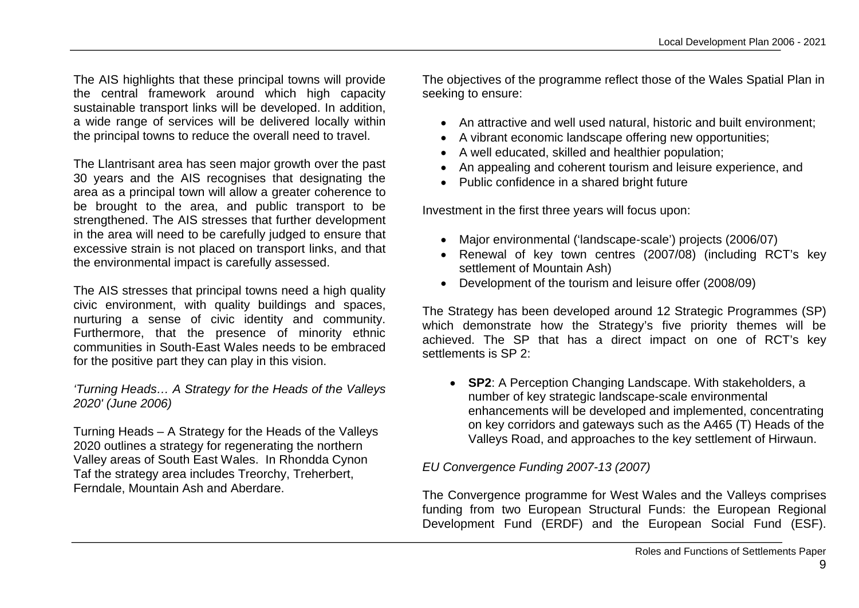The AIS highlights that these principal towns will provide the central framework around which high capacity sustainable transport links will be developed. In addition, a wide range of services will be delivered locally within the principal towns to reduce the overall need to travel.

The Llantrisant area has seen major growth over the past 30 years and the AIS recognises that designating the area as a principal town will allow a greater coherence to be brought to the area, and public transport to be strengthened. The AIS stresses that further development in the area will need to be carefully judged to ensure that excessive strain is not placed on transport links, and that the environmental impact is carefully assessed.

The AIS stresses that principal towns need a high quality civic environment, with quality buildings and spaces, nurturing a sense of civic identity and community. Furthermore, that the presence of minority ethnic communities in South-East Wales needs to be embraced for the positive part they can play in this vision.

#### *'Turning Heads… A Strategy for the Heads of the Valleys 2020' (June 2006)*

Turning Heads – A Strategy for the Heads of the Valleys 2020 outlines a strategy for regenerating the northern Valley areas of South East Wales. In Rhondda Cynon Taf the strategy area includes Treorchy, Treherbert, Ferndale, Mountain Ash and Aberdare.

The objectives of the programme reflect those of the Wales Spatial Plan in seeking to ensure:

- An attractive and well used natural, historic and built environment:
- A vibrant economic landscape offering new opportunities;
- A well educated, skilled and healthier population;
- An appealing and coherent tourism and leisure experience, and
- Public confidence in a shared bright future

Investment in the first three years will focus upon:

- Major environmental ('landscape-scale') projects (2006/07)
- Renewal of key town centres (2007/08) (including RCT's key settlement of Mountain Ash)
- Development of the tourism and leisure offer (2008/09)

The Strategy has been developed around 12 Strategic Programmes (SP) which demonstrate how the Strategy's five priority themes will be achieved. The SP that has a direct impact on one of RCT's key settlements is SP 2:

 **SP2**: A Perception Changing Landscape. With stakeholders, a number of key strategic landscape-scale environmental enhancements will be developed and implemented, concentrating on key corridors and gateways such as the A465 (T) Heads of the Valleys Road, and approaches to the key settlement of Hirwaun.

## *EU Convergence Funding 2007-13 (2007)*

The Convergence programme for West Wales and the Valleys comprises funding from two European Structural Funds: the European Regional Development Fund (ERDF) and the European Social Fund (ESF).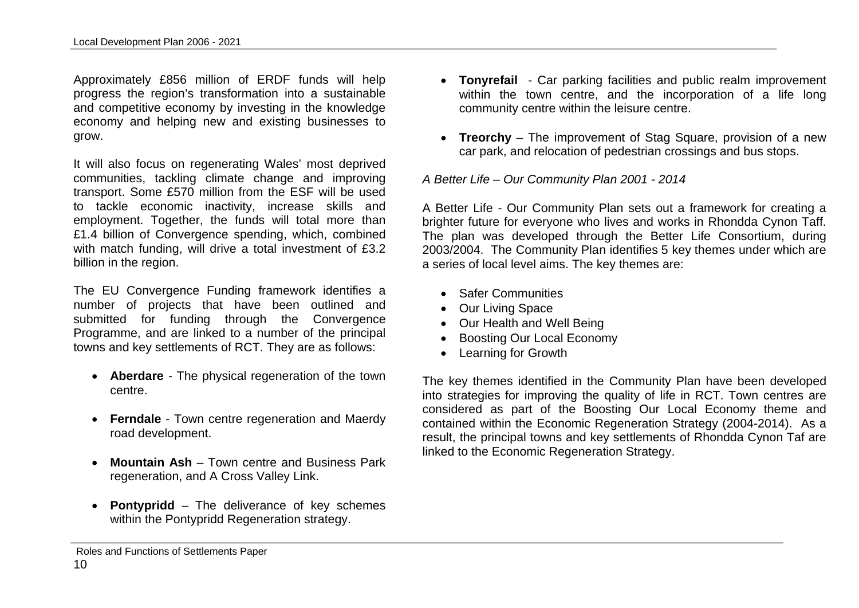Approximately £856 million of ERDF funds will help progress the region's transformation into a sustainable and competitive economy by investing in the knowledge economy and helping new and existing businesses to grow.

It will also focus on regenerating Wales' most deprived communities, tackling climate change and improving transport. Some £570 million from the ESF will be used to tackle economic inactivity, increase skills and employment. Together, the funds will total more than £1.4 billion of Convergence spending, which, combined with match funding, will drive a total investment of £3.2 billion in the region.

The EU Convergence Funding framework identifies a number of projects that have been outlined and submitted for funding through the Convergence Programme, and are linked to a number of the principal towns and key settlements of RCT. They are as follows:

- **Aberdare** *-* The physical regeneration of the town centre.
- **Ferndale**  Town centre regeneration and Maerdy road development.
- **Mountain Ash**  Town centre and Business Park regeneration, and A Cross Valley Link.
- **Pontypridd**  The deliverance of key schemes within the Pontypridd Regeneration strategy.
- **Tonyrefail**  Car parking facilities and public realm improvement within the town centre, and the incorporation of a life long community centre within the leisure centre.
- **Treorchy**  The improvement of Stag Square, provision of a new car park, and relocation of pedestrian crossings and bus stops.

#### *A Better Life – Our Community Plan 2001 - 2014*

A Better Life - Our Community Plan sets out a framework for creating a brighter future for everyone who lives and works in Rhondda Cynon Taff. The plan was developed through the Better Life Consortium, during 2003/2004. The Community Plan identifies 5 key themes under which are a series of local level aims. The key themes are:

- Safer Communities
- Our Living Space
- Our Health and Well Being
- Boosting Our Local Economy
- Learning for Growth

The key themes identified in the Community Plan have been developed into strategies for improving the quality of life in RCT. Town centres are considered as part of the Boosting Our Local Economy theme and contained within the Economic Regeneration Strategy (2004-2014). As a result, the principal towns and key settlements of Rhondda Cynon Taf are linked to the Economic Regeneration Strategy.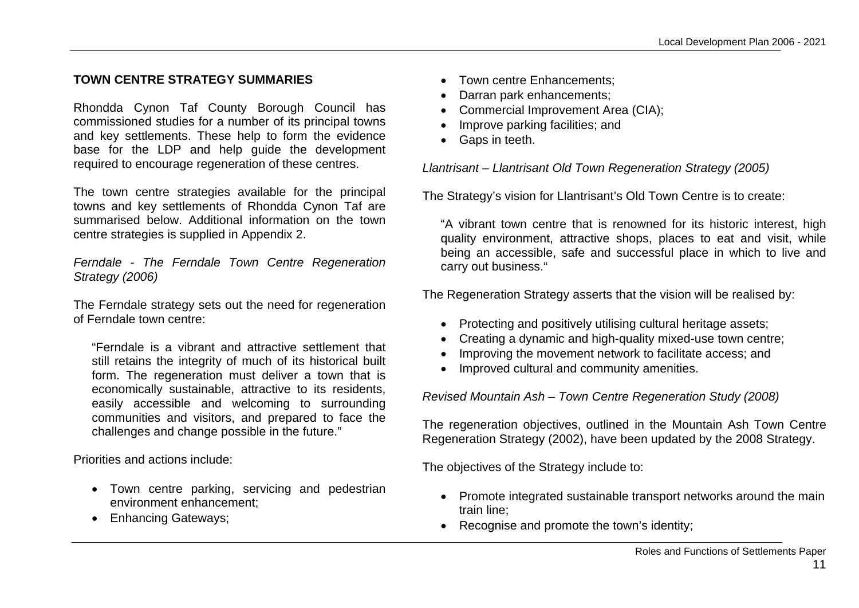#### **TOWN CENTRE STRATEGY SUMMARIES**

Rhondda Cynon Taf County Borough Council has commissioned studies for a number of its principal towns and key settlements. These help to form the evidence base for the LDP and help guide the development required to encourage regeneration of these centres.

The town centre strategies available for the principal towns and key settlements of Rhondda Cynon Taf are summarised below. Additional information on the town centre strategies is supplied in Appendix 2.

*Ferndale - The Ferndale Town Centre Regeneration Strategy (2006)*

The Ferndale strategy sets out the need for regeneration of Ferndale town centre:

"Ferndale is a vibrant and attractive settlement that still retains the integrity of much of its historical built form. The regeneration must deliver a town that is economically sustainable, attractive to its residents, easily accessible and welcoming to surrounding communities and visitors, and prepared to face the challenges and change possible in the future."

Priorities and actions include:

- Town centre parking, servicing and pedestrian environment enhancement;
- Enhancing Gateways;
- Town centre Enhancements:
- Darran park enhancements;
- Commercial Improvement Area (CIA):
- Improve parking facilities; and
- Gaps in teeth.

*Llantrisant – Llantrisant Old Town Regeneration Strategy (2005)*

The Strategy's vision for Llantrisant's Old Town Centre is to create:

"A vibrant town centre that is renowned for its historic interest, high quality environment, attractive shops, places to eat and visit, while being an accessible, safe and successful place in which to live and carry out business."

The Regeneration Strategy asserts that the vision will be realised by:

- Protecting and positively utilising cultural heritage assets;
- Creating a dynamic and high-quality mixed-use town centre;
- Improving the movement network to facilitate access; and
- Improved cultural and community amenities.

*Revised Mountain Ash – Town Centre Regeneration Study (2008)*

The regeneration objectives, outlined in the Mountain Ash Town Centre Regeneration Strategy (2002), have been updated by the 2008 Strategy.

The objectives of the Strategy include to:

- Promote integrated sustainable transport networks around the main train line;
- Recognise and promote the town's identity;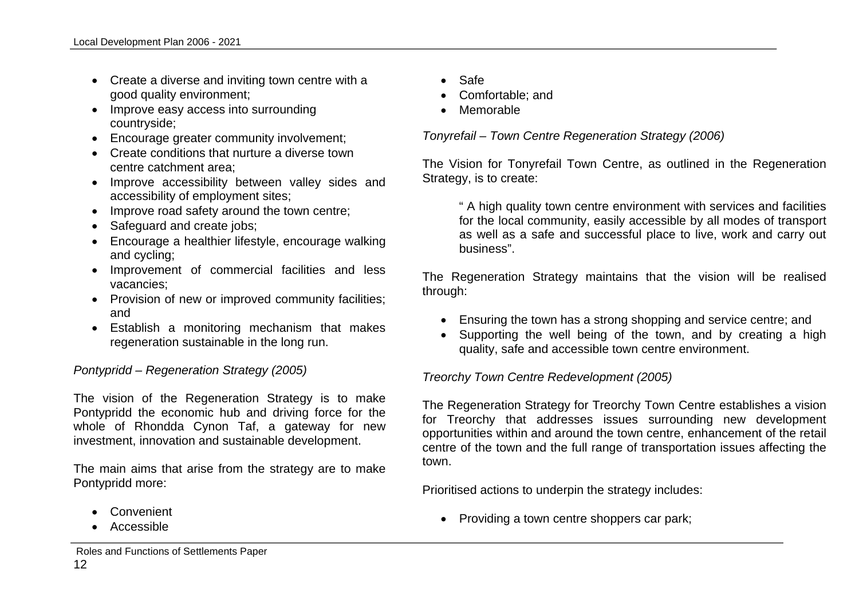- Create a diverse and inviting town centre with a good quality environment;
- Improve easy access into surrounding countryside;
- Encourage greater community involvement;
- Create conditions that nurture a diverse town centre catchment area;
- Improve accessibility between valley sides and accessibility of employment sites;
- Improve road safety around the town centre;
- Safeguard and create jobs;
- Encourage a healthier lifestyle, encourage walking and cycling;
- Improvement of commercial facilities and less vacancies;
- Provision of new or improved community facilities; and
- Establish a monitoring mechanism that makes regeneration sustainable in the long run.

*Pontypridd – Regeneration Strategy (2005)*

The vision of the Regeneration Strategy is to make Pontypridd the economic hub and driving force for the whole of Rhondda Cynon Taf, a gateway for new investment, innovation and sustainable development.

The main aims that arise from the strategy are to make Pontypridd more:

- Convenient
- Accessible
- Safe
- Comfortable; and
- Memorable

*Tonyrefail – Town Centre Regeneration Strategy (2006)*

The Vision for Tonyrefail Town Centre, as outlined in the Regeneration Strategy, is to create:

" A high quality town centre environment with services and facilities for the local community, easily accessible by all modes of transport as well as a safe and successful place to live, work and carry out business".

The Regeneration Strategy maintains that the vision will be realised through:

- Ensuring the town has a strong shopping and service centre; and
- Supporting the well being of the town, and by creating a high quality, safe and accessible town centre environment.

## *Treorchy Town Centre Redevelopment (2005)*

The Regeneration Strategy for Treorchy Town Centre establishes a vision for Treorchy that addresses issues surrounding new development opportunities within and around the town centre, enhancement of the retail centre of the town and the full range of transportation issues affecting the town.

Prioritised actions to underpin the strategy includes:

• Providing a town centre shoppers car park: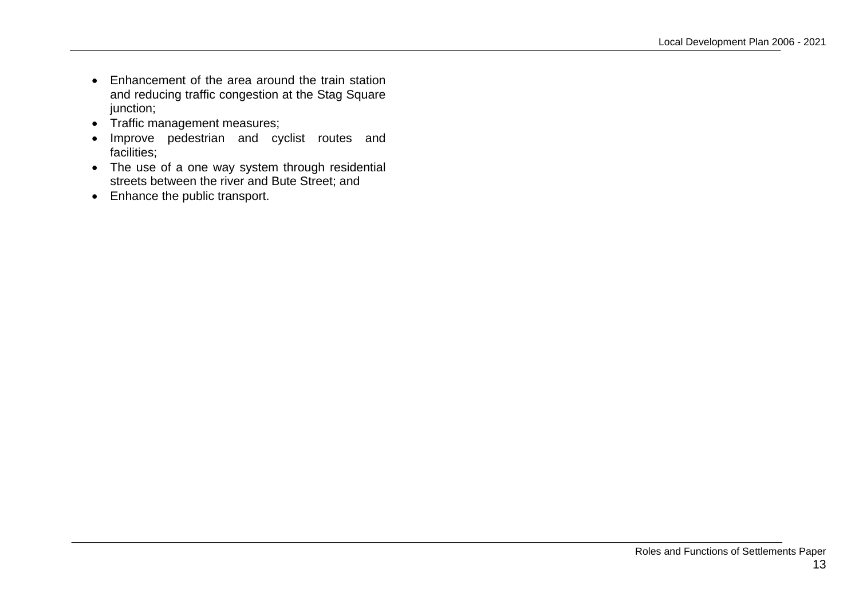- Enhancement of the area around the train station and reducing traffic congestion at the Stag Square junction;
- Traffic management measures;
- Improve pedestrian and cyclist routes and facilities;
- The use of a one way system through residential streets between the river and Bute Street; and
- Enhance the public transport.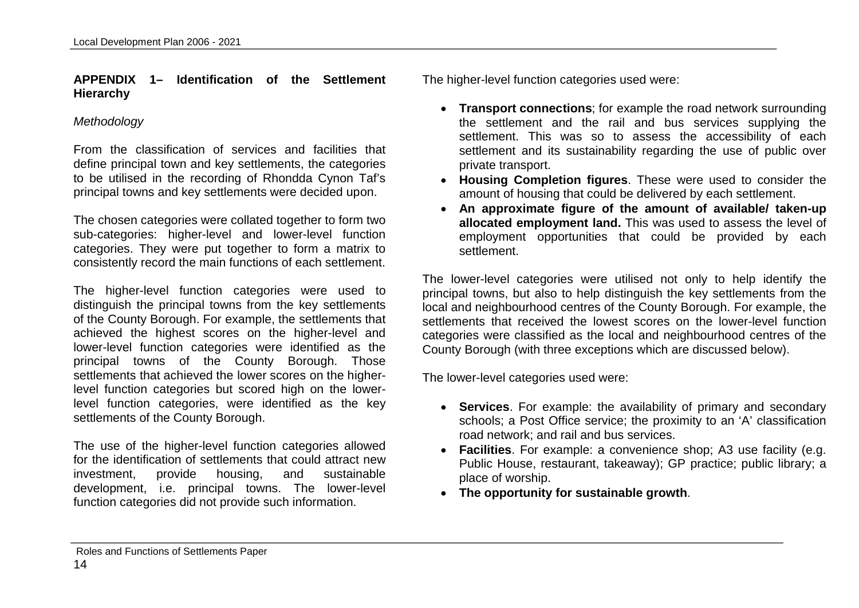#### **APPENDIX 1– Identification of the Settlement Hierarchy**

#### *Methodology*

From the classification of services and facilities that define principal town and key settlements, the categories to be utilised in the recording of Rhondda Cynon Taf's principal towns and key settlements were decided upon.

The chosen categories were collated together to form two sub-categories: higher-level and lower-level function categories. They were put together to form a matrix to consistently record the main functions of each settlement.

The higher-level function categories were used to distinguish the principal towns from the key settlements of the County Borough. For example, the settlements that achieved the highest scores on the higher-level and lower-level function categories were identified as the principal towns of the County Borough. Those settlements that achieved the lower scores on the higherlevel function categories but scored high on the lowerlevel function categories, were identified as the key settlements of the County Borough.

The use of the higher-level function categories allowed for the identification of settlements that could attract new investment, provide housing, and sustainable development, i.e. principal towns. The lower-level function categories did not provide such information.

The higher-level function categories used were:

- **Transport connections**; for example the road network surrounding the settlement and the rail and bus services supplying the settlement. This was so to assess the accessibility of each settlement and its sustainability regarding the use of public over private transport.
- **Housing Completion figures**. These were used to consider the amount of housing that could be delivered by each settlement.
- **An approximate figure of the amount of available/ taken-up allocated employment land.** This was used to assess the level of employment opportunities that could be provided by each settlement.

The lower-level categories were utilised not only to help identify the principal towns, but also to help distinguish the key settlements from the local and neighbourhood centres of the County Borough. For example, the settlements that received the lowest scores on the lower-level function categories were classified as the local and neighbourhood centres of the County Borough (with three exceptions which are discussed below).

The lower-level categories used were:

- **Services**. For example: the availability of primary and secondary schools; a Post Office service; the proximity to an 'A' classification road network; and rail and bus services.
- **Facilities**. For example: a convenience shop; A3 use facility (e.g. Public House, restaurant, takeaway); GP practice; public library; a place of worship.
- **The opportunity for sustainable growth**.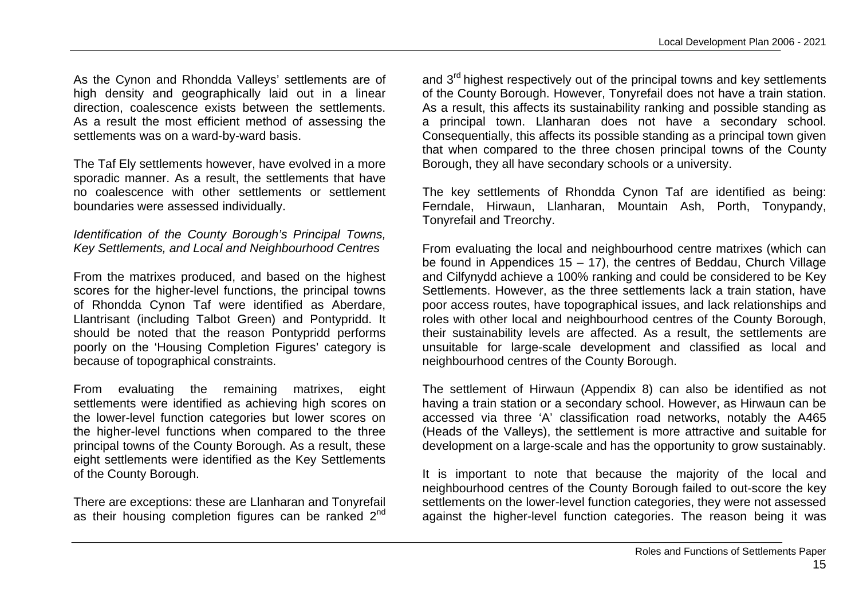As the Cynon and Rhondda Valleys' settlements are of high density and geographically laid out in a linear direction, coalescence exists between the settlements. As a result the most efficient method of assessing the settlements was on a ward-by-ward basis.

The Taf Ely settlements however, have evolved in a more sporadic manner. As a result, the settlements that have no coalescence with other settlements or settlement boundaries were assessed individually.

#### *Identification of the County Borough's Principal Towns, Key Settlements, and Local and Neighbourhood Centres*

From the matrixes produced, and based on the highest scores for the higher-level functions, the principal towns of Rhondda Cynon Taf were identified as Aberdare, Llantrisant (including Talbot Green) and Pontypridd. It should be noted that the reason Pontypridd performs poorly on the 'Housing Completion Figures' category is because of topographical constraints.

From evaluating the remaining matrixes, eight settlements were identified as achieving high scores on the lower-level function categories but lower scores on the higher-level functions when compared to the three principal towns of the County Borough. As a result, these eight settlements were identified as the Key Settlements of the County Borough.

There are exceptions: these are Llanharan and Tonyrefail as their housing completion figures can be ranked 2<sup>nd</sup>

and 3<sup>rd</sup> highest respectively out of the principal towns and key settlements of the County Borough. However, Tonyrefail does not have a train station. As a result, this affects its sustainability ranking and possible standing as a principal town. Llanharan does not have a secondary school. Consequentially, this affects its possible standing as a principal town given that when compared to the three chosen principal towns of the County Borough, they all have secondary schools or a university.

The key settlements of Rhondda Cynon Taf are identified as being: Ferndale, Hirwaun, Llanharan, Mountain Ash, Porth, Tonypandy, Tonyrefail and Treorchy.

From evaluating the local and neighbourhood centre matrixes (which can be found in Appendices  $15 - 17$ ), the centres of Beddau, Church Village and Cilfynydd achieve a 100% ranking and could be considered to be Key Settlements. However, as the three settlements lack a train station, have poor access routes, have topographical issues, and lack relationships and roles with other local and neighbourhood centres of the County Borough, their sustainability levels are affected. As a result, the settlements are unsuitable for large-scale development and classified as local and neighbourhood centres of the County Borough.

The settlement of Hirwaun (Appendix 8) can also be identified as not having a train station or a secondary school. However, as Hirwaun can be accessed via three 'A' classification road networks, notably the A465 (Heads of the Valleys), the settlement is more attractive and suitable for development on a large-scale and has the opportunity to grow sustainably.

It is important to note that because the majority of the local and neighbourhood centres of the County Borough failed to out-score the key settlements on the lower-level function categories, they were not assessed against the higher-level function categories. The reason being it was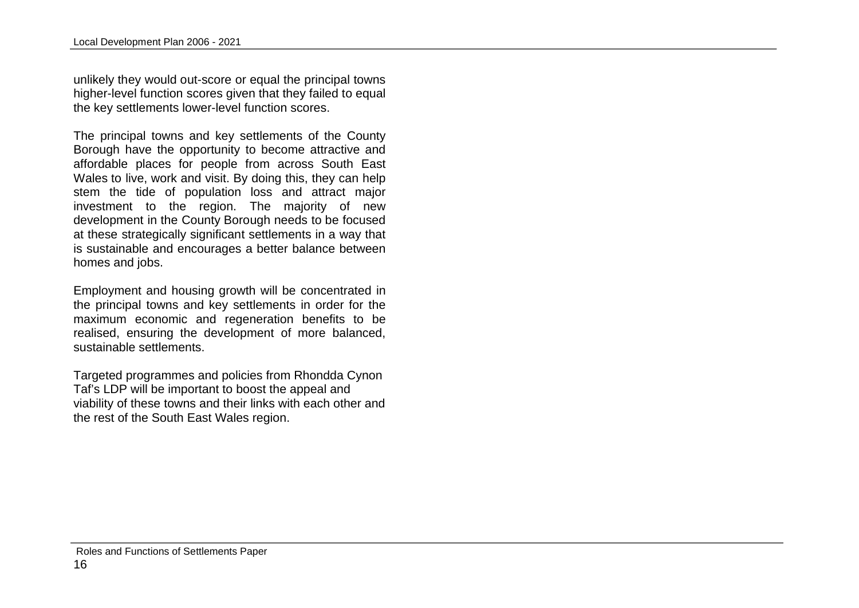unlikely they would out-score or equal the principal towns higher-level function scores given that they failed to equal the key settlements lower-level function scores.

The principal towns and key settlements of the County Borough have the opportunity to become attractive and affordable places for people from across South East Wales to live, work and visit. By doing this, they can help stem the tide of population loss and attract major investment to the region. The majority of new development in the County Borough needs to be focused at these strategically significant settlements in a way that is sustainable and encourages a better balance between homes and jobs.

Employment and housing growth will be concentrated in the principal towns and key settlements in order for the maximum economic and regeneration benefits to be realised, ensuring the development of more balanced, sustainable settlements.

Targeted programmes and policies from Rhondda Cynon Taf's LDP will be important to boost the appeal and viability of these towns and their links with each other and the rest of the South East Wales region.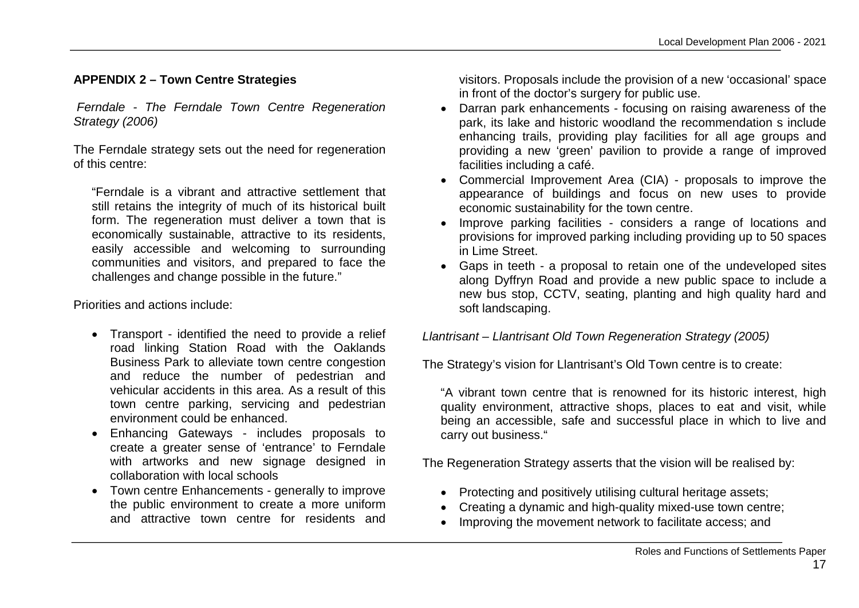#### **APPENDIX 2 – Town Centre Strategies**

 *Ferndale - The Ferndale Town Centre Regeneration Strategy (2006)*

The Ferndale strategy sets out the need for regeneration of this centre:

"Ferndale is a vibrant and attractive settlement that still retains the integrity of much of its historical built form. The regeneration must deliver a town that is economically sustainable, attractive to its residents, easily accessible and welcoming to surrounding communities and visitors, and prepared to face the challenges and change possible in the future."

Priorities and actions include:

- Transport identified the need to provide a relief road linking Station Road with the Oaklands Business Park to alleviate town centre congestion and reduce the number of pedestrian and vehicular accidents in this area. As a result of this town centre parking, servicing and pedestrian environment could be enhanced.
- Enhancing Gateways includes proposals to create a greater sense of 'entrance' to Ferndale with artworks and new signage designed in collaboration with local schools
- Town centre Enhancements generally to improve the public environment to create a more uniform and attractive town centre for residents and

visitors. Proposals include the provision of a new 'occasional' space in front of the doctor's surgery for public use.

- Darran park enhancements focusing on raising awareness of the park, its lake and historic woodland the recommendation s include enhancing trails, providing play facilities for all age groups and providing a new 'green' pavilion to provide a range of improved facilities including a café.
- Commercial Improvement Area (CIA) proposals to improve the appearance of buildings and focus on new uses to provide economic sustainability for the town centre.
- Improve parking facilities considers a range of locations and provisions for improved parking including providing up to 50 spaces in Lime Street.
- Gaps in teeth a proposal to retain one of the undeveloped sites along Dyffryn Road and provide a new public space to include a new bus stop, CCTV, seating, planting and high quality hard and soft landscaping.

*Llantrisant – Llantrisant Old Town Regeneration Strategy (2005)*

The Strategy's vision for Llantrisant's Old Town centre is to create:

"A vibrant town centre that is renowned for its historic interest, high quality environment, attractive shops, places to eat and visit, while being an accessible, safe and successful place in which to live and carry out business."

The Regeneration Strategy asserts that the vision will be realised by:

- Protecting and positively utilising cultural heritage assets;
- Creating a dynamic and high-quality mixed-use town centre;
- Improving the movement network to facilitate access: and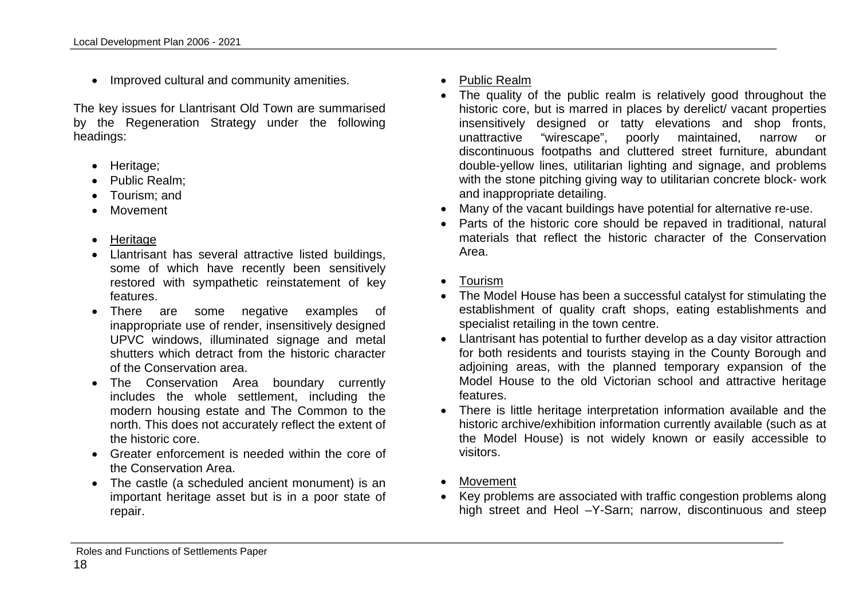• Improved cultural and community amenities.

The key issues for Llantrisant Old Town are summarised by the Regeneration Strategy under the following headings:

- Heritage;
- Public Realm:
- Tourism; and
- Movement
- Heritage
- Llantrisant has several attractive listed buildings, some of which have recently been sensitively restored with sympathetic reinstatement of key features.
- There are some negative examples of inappropriate use of render, insensitively designed UPVC windows, illuminated signage and metal shutters which detract from the historic character of the Conservation area.
- The Conservation Area boundary currently includes the whole settlement, including the modern housing estate and The Common to the north. This does not accurately reflect the extent of the historic core.
- Greater enforcement is needed within the core of the Conservation Area.
- The castle (a scheduled ancient monument) is an important heritage asset but is in a poor state of repair.
- Public Realm
- The quality of the public realm is relatively good throughout the historic core, but is marred in places by derelict/ vacant properties insensitively designed or tatty elevations and shop fronts, unattractive "wirescape", poorly maintained, narrow or discontinuous footpaths and cluttered street furniture, abundant double-yellow lines, utilitarian lighting and signage, and problems with the stone pitching giving way to utilitarian concrete block- work and inappropriate detailing.
- Many of the vacant buildings have potential for alternative re-use.
- Parts of the historic core should be repaved in traditional, natural materials that reflect the historic character of the Conservation Area.
- Tourism
- The Model House has been a successful catalyst for stimulating the establishment of quality craft shops, eating establishments and specialist retailing in the town centre.
- Llantrisant has potential to further develop as a day visitor attraction for both residents and tourists staying in the County Borough and adjoining areas, with the planned temporary expansion of the Model House to the old Victorian school and attractive heritage features.
- There is little heritage interpretation information available and the historic archive/exhibition information currently available (such as at the Model House) is not widely known or easily accessible to visitors.
- Movement
- Key problems are associated with traffic congestion problems along high street and Heol –Y-Sarn; narrow, discontinuous and steep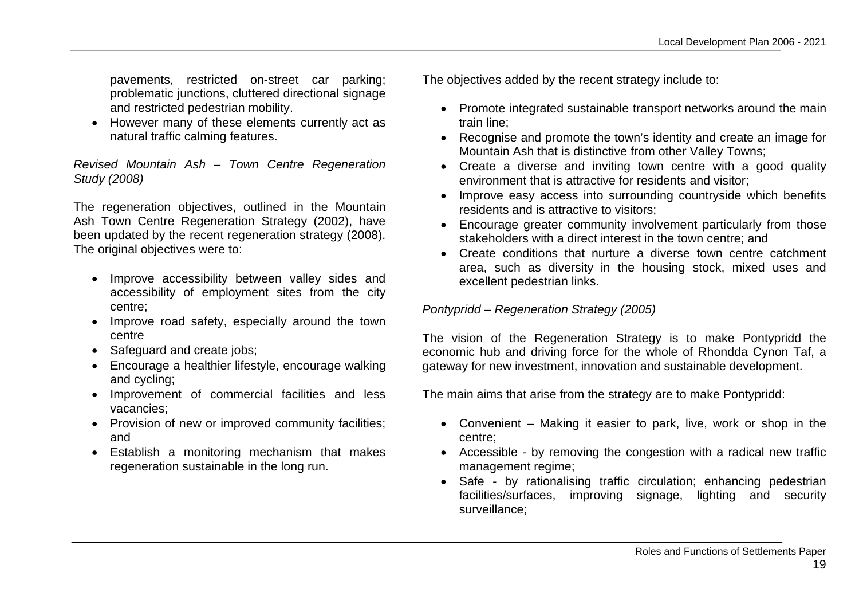pavements, restricted on-street car parking; problematic junctions, cluttered directional signage and restricted pedestrian mobility.

• However many of these elements currently act as natural traffic calming features.

*Revised Mountain Ash – Town Centre Regeneration Study (2008)*

The regeneration objectives, outlined in the Mountain Ash Town Centre Regeneration Strategy (2002), have been updated by the recent regeneration strategy (2008). The original objectives were to:

- Improve accessibility between valley sides and accessibility of employment sites from the city centre;
- Improve road safety, especially around the town centre
- Safeguard and create jobs;
- Encourage a healthier lifestyle, encourage walking and cycling;
- Improvement of commercial facilities and less vacancies;
- Provision of new or improved community facilities; and
- Establish a monitoring mechanism that makes regeneration sustainable in the long run.

The objectives added by the recent strategy include to:

- Promote integrated sustainable transport networks around the main train line;
- Recognise and promote the town's identity and create an image for Mountain Ash that is distinctive from other Valley Towns;
- Create a diverse and inviting town centre with a good quality environment that is attractive for residents and visitor;
- Improve easy access into surrounding countryside which benefits residents and is attractive to visitors;
- Encourage greater community involvement particularly from those stakeholders with a direct interest in the town centre; and
- Create conditions that nurture a diverse town centre catchment area, such as diversity in the housing stock, mixed uses and excellent pedestrian links.

#### *Pontypridd – Regeneration Strategy (2005)*

The vision of the Regeneration Strategy is to make Pontypridd the economic hub and driving force for the whole of Rhondda Cynon Taf, a gateway for new investment, innovation and sustainable development.

The main aims that arise from the strategy are to make Pontypridd:

- Convenient Making it easier to park, live, work or shop in the centre;
- Accessible by removing the congestion with a radical new traffic management regime;
- Safe by rationalising traffic circulation: enhancing pedestrian facilities/surfaces, improving signage, lighting and security surveillance;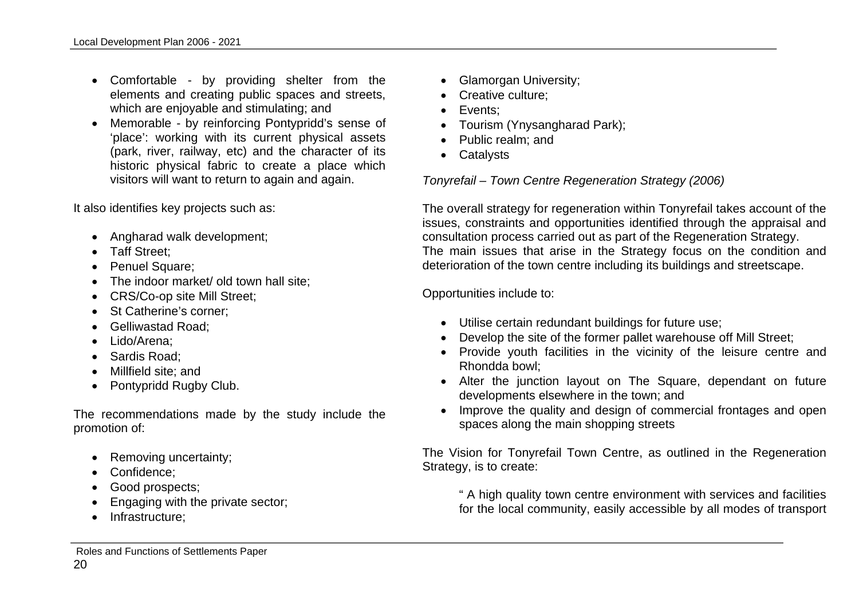- Comfortable by providing shelter from the elements and creating public spaces and streets, which are enjoyable and stimulating; and
- Memorable by reinforcing Pontypridd's sense of 'place': working with its current physical assets (park, river, railway, etc) and the character of its historic physical fabric to create a place which visitors will want to return to again and again.

It also identifies key projects such as:

- Angharad walk development;
- Taff Street:
- Penuel Square:
- The indoor market/ old town hall site:
- CRS/Co-op site Mill Street;
- St Catherine's corner:
- Gelliwastad Road:
- Lido/Arena:
- Sardis Road:
- Millfield site: and
- Pontypridd Rugby Club.

The recommendations made by the study include the promotion of:

- Removing uncertainty;
- Confidence:
- Good prospects;
- Engaging with the private sector;
- Infrastructure:
- Glamorgan University:
- Creative culture:
- **Events**:
- Tourism (Ynysangharad Park);
- Public realm; and
- Catalysts

## *Tonyrefail – Town Centre Regeneration Strategy (2006)*

The overall strategy for regeneration within Tonyrefail takes account of the issues, constraints and opportunities identified through the appraisal and consultation process carried out as part of the Regeneration Strategy. The main issues that arise in the Strategy focus on the condition and deterioration of the town centre including its buildings and streetscape.

#### Opportunities include to:

- Utilise certain redundant buildings for future use;
- Develop the site of the former pallet warehouse off Mill Street;
- Provide youth facilities in the vicinity of the leisure centre and Rhondda bowl;
- Alter the junction layout on The Square, dependant on future developments elsewhere in the town; and
- Improve the quality and design of commercial frontages and open spaces along the main shopping streets

The Vision for Tonyrefail Town Centre, as outlined in the Regeneration Strategy, is to create:

" A high quality town centre environment with services and facilities for the local community, easily accessible by all modes of transport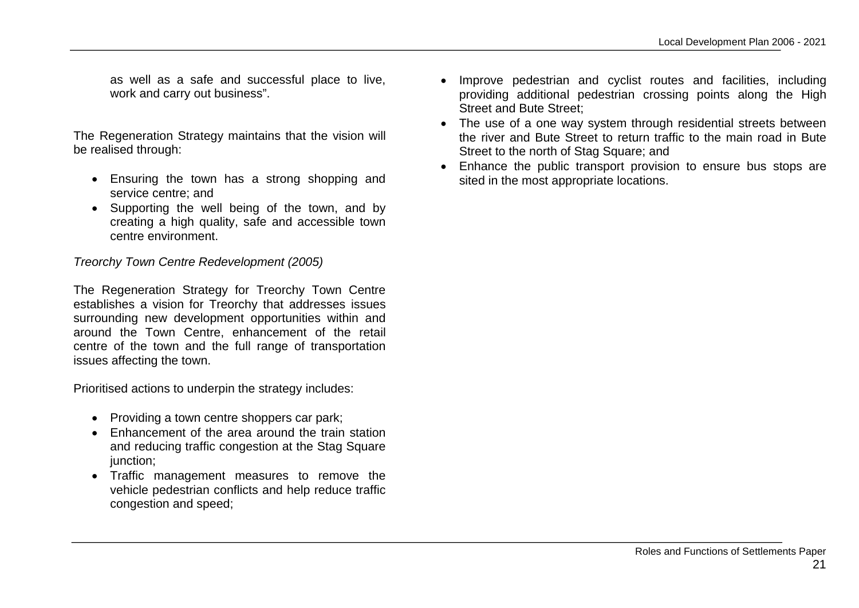as well as a safe and successful place to live, work and carry out business".

The Regeneration Strategy maintains that the vision will be realised through:

- Ensuring the town has a strong shopping and service centre; and
- Supporting the well being of the town, and by creating a high quality, safe and accessible town centre environment.

#### *Treorchy Town Centre Redevelopment (2005)*

The Regeneration Strategy for Treorchy Town Centre establishes a vision for Treorchy that addresses issues surrounding new development opportunities within and around the Town Centre, enhancement of the retail centre of the town and the full range of transportation issues affecting the town.

Prioritised actions to underpin the strategy includes:

- Providing a town centre shoppers car park;
- Enhancement of the area around the train station and reducing traffic congestion at the Stag Square iunction:
- Traffic management measures to remove the vehicle pedestrian conflicts and help reduce traffic congestion and speed;
- Improve pedestrian and cyclist routes and facilities, including providing additional pedestrian crossing points along the High Street and Bute Street;
- The use of a one way system through residential streets between the river and Bute Street to return traffic to the main road in Bute Street to the north of Stag Square; and
- Enhance the public transport provision to ensure bus stops are sited in the most appropriate locations.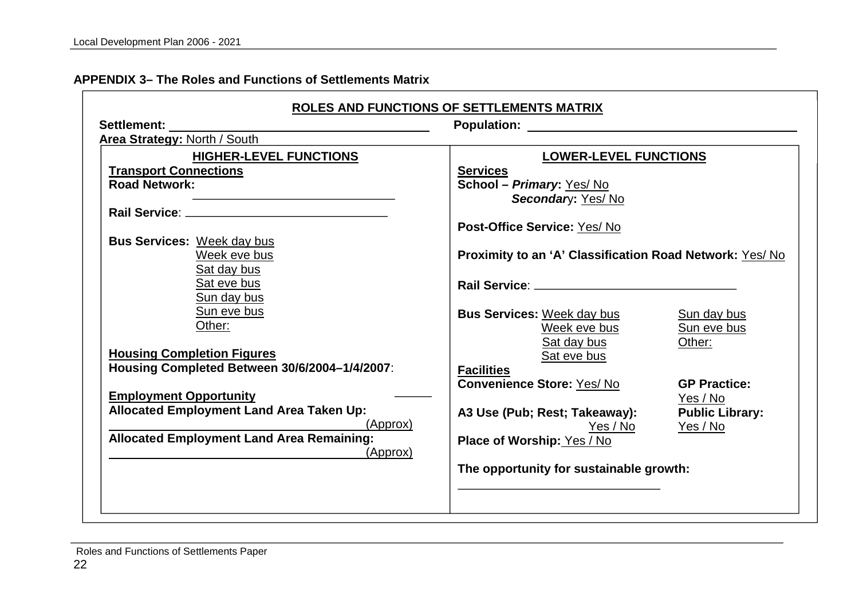#### **APPENDIX 3– The Roles and Functions of Settlements Matrix**

|                                                              | <b>ROLES AND FUNCTIONS OF SETTLEMENTS MATRIX</b>               |                          |  |
|--------------------------------------------------------------|----------------------------------------------------------------|--------------------------|--|
| Settlement:<br><b>Population:</b>                            |                                                                |                          |  |
| Area Strategy: North / South                                 |                                                                |                          |  |
| <b>HIGHER-LEVEL FUNCTIONS</b>                                | <b>LOWER-LEVEL FUNCTIONS</b>                                   |                          |  |
| <b>Transport Connections</b>                                 | <b>Services</b>                                                |                          |  |
| <b>Road Network:</b>                                         | Secondary: Yes/No                                              | School - Primary: Yes/No |  |
|                                                              |                                                                |                          |  |
|                                                              | Post-Office Service: Yes/No                                    |                          |  |
| <b>Bus Services: Week day bus</b>                            |                                                                |                          |  |
| Week eve bus                                                 | <b>Proximity to an 'A' Classification Road Network: Yes/No</b> |                          |  |
| Sat day bus                                                  |                                                                |                          |  |
| Sat eve bus                                                  |                                                                |                          |  |
| <b>Sun day bus</b>                                           |                                                                |                          |  |
| Sun eve bus<br>Other:                                        | <b>Bus Services: Week day bus</b>                              | Sun day bus              |  |
|                                                              | Week eve bus<br><u>Sat day bus</u>                             | Sun eve bus<br>Other:    |  |
| <b>Housing Completion Figures</b>                            | Sat eve bus                                                    |                          |  |
| Housing Completed Between 30/6/2004-1/4/2007:                | <b>Facilities</b>                                              |                          |  |
|                                                              | <b>Convenience Store: Yes/No</b>                               | <b>GP Practice:</b>      |  |
| <b>Employment Opportunity</b>                                |                                                                | Yes / No                 |  |
| <b>Allocated Employment Land Area Taken Up:</b>              | A3 Use (Pub; Rest; Takeaway):                                  | <b>Public Library:</b>   |  |
| (Approx)<br><b>Allocated Employment Land Area Remaining:</b> | Yes / No                                                       | Yes / No                 |  |
| (Approx)                                                     | Place of Worship: Yes / No                                     |                          |  |
|                                                              | The opportunity for sustainable growth:                        |                          |  |
|                                                              |                                                                |                          |  |
|                                                              |                                                                |                          |  |
|                                                              |                                                                |                          |  |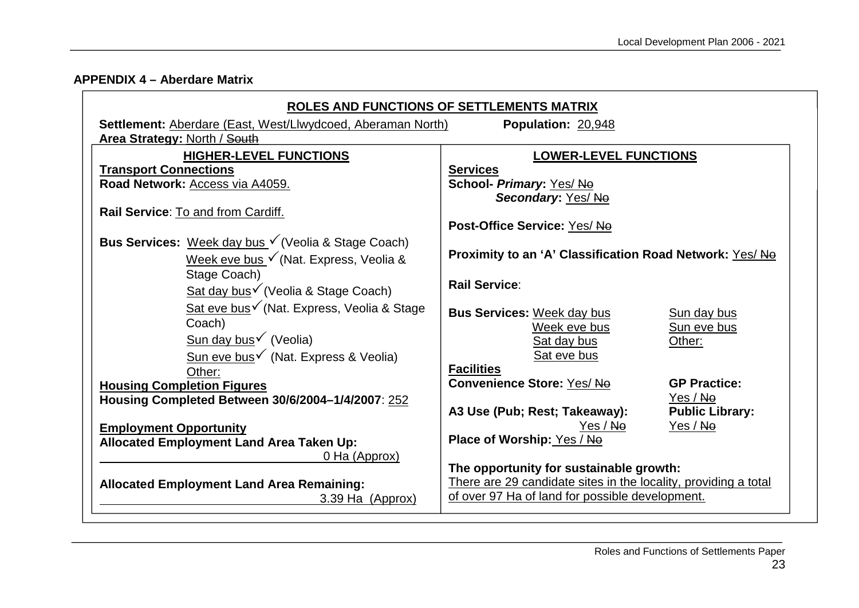## **APPENDIX 4 – Aberdare Matrix**

|                                                                                               | ROLES AND FUNCTIONS OF SETTLEMENTS MATRIX                       |                            |
|-----------------------------------------------------------------------------------------------|-----------------------------------------------------------------|----------------------------|
| <b>Settlement: Aberdare (East, West/Llwydcoed, Aberaman North)</b>                            | Population: 20,948                                              |                            |
| Area Strategy: North / South                                                                  |                                                                 |                            |
| <b>HIGHER-LEVEL FUNCTIONS</b><br><b>Transport Connections</b>                                 | <b>LOWER-LEVEL FUNCTIONS</b><br><b>Services</b>                 |                            |
| Road Network: Access via A4059.                                                               | School- Primary: Yes/No                                         |                            |
|                                                                                               | Secondary: Yes/No                                               |                            |
| Rail Service: To and from Cardiff.                                                            |                                                                 |                            |
|                                                                                               | Post-Office Service: Yes/ No                                    |                            |
| Bus Services: Week day bus V (Veolia & Stage Coach)<br>Week eve bus V (Nat. Express, Veolia & | <b>Proximity to an 'A' Classification Road Network: Yes/Ne</b>  |                            |
| Stage Coach)                                                                                  |                                                                 |                            |
| Sat day bus V (Veolia & Stage Coach)                                                          | <b>Rail Service:</b>                                            |                            |
| Sat eve bus√ (Nat. Express, Veolia & Stage                                                    |                                                                 |                            |
| Coach)                                                                                        | <b>Bus Services: Week day bus</b><br>Week eve bus               | Sun day bus<br>Sun eve bus |
| Sun day bus $\checkmark$ (Veolia)                                                             | Sat day bus                                                     | Other:                     |
| Sun eve bus $\checkmark$ (Nat. Express & Veolia)                                              | Sat eve bus                                                     |                            |
| Other:                                                                                        | <b>Facilities</b><br>Convenience Store: Yes/ No                 | <b>GP Practice:</b>        |
| <b>Housing Completion Figures</b><br>Housing Completed Between 30/6/2004-1/4/2007: 252        |                                                                 | Yes / No                   |
|                                                                                               | A3 Use (Pub; Rest; Takeaway):                                   | <b>Public Library:</b>     |
| <b>Employment Opportunity</b>                                                                 | Yes / No                                                        | Yes / No                   |
| <b>Allocated Employment Land Area Taken Up:</b>                                               | Place of Worship: Yes / No                                      |                            |
| 0 Ha (Approx)                                                                                 | The opportunity for sustainable growth:                         |                            |
| <b>Allocated Employment Land Area Remaining:</b>                                              | There are 29 candidate sites in the locality, providing a total |                            |
| of over 97 Ha of land for possible development.<br>3.39 Ha (Approx)                           |                                                                 |                            |
|                                                                                               |                                                                 |                            |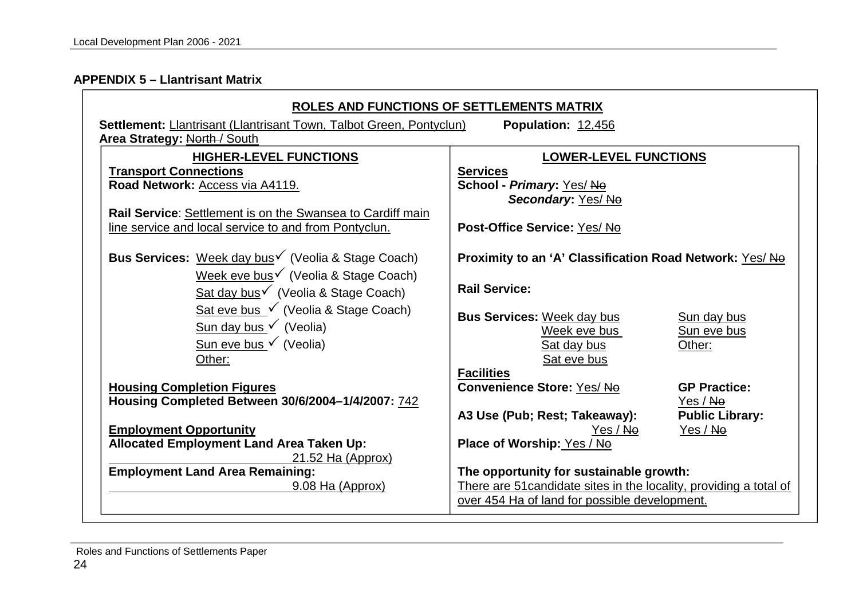### **APPENDIX 5 – Llantrisant Matrix**

| ROLES AND FUNCTIONS OF SETTLEMENTS MATRIX                                                                                 |                                                                                                                                                                |  |  |
|---------------------------------------------------------------------------------------------------------------------------|----------------------------------------------------------------------------------------------------------------------------------------------------------------|--|--|
| Settlement: Llantrisant (Llantrisant Town, Talbot Green, Pontyclun)<br>Population: 12,456<br>Area Strategy: North / South |                                                                                                                                                                |  |  |
| HIGHER-LEVEL FUNCTIONS<br><b>Transport Connections</b><br>Road Network: Access via A4119.                                 | <b>LOWER-LEVEL FUNCTIONS</b><br><b>Services</b><br>School - Primary: Yes/No                                                                                    |  |  |
| Rail Service: Settlement is on the Swansea to Cardiff main<br>line service and local service to and from Pontyclun.       | Secondary: Yes/No<br><b>Post-Office Service: Yes/Ne</b>                                                                                                        |  |  |
| Bus Services: Week day bus v (Veolia & Stage Coach)<br>Week eve bus√ (Veolia & Stage Coach)                               | <b>Proximity to an 'A' Classification Road Network: Yes/No</b>                                                                                                 |  |  |
| Sat day bus $\checkmark$ (Veolia & Stage Coach)                                                                           | <b>Rail Service:</b>                                                                                                                                           |  |  |
| Sat eve bus $\checkmark$ (Veolia & Stage Coach)<br>Sun day bus √ (Veolia)<br>Sun eve bus $\checkmark$ (Veolia)<br>Other:  | <b>Bus Services: Week day bus</b><br>Sun day bus<br>Week eve bus<br>Sun eve bus<br>Sat day bus<br>Other:<br>Sat eve bus                                        |  |  |
| <b>Housing Completion Figures</b><br>Housing Completed Between 30/6/2004-1/4/2007: 742                                    | <b>Facilities</b><br><b>Convenience Store: Yes/No</b><br><b>GP Practice:</b><br>Yes / No<br>A3 Use (Pub; Rest; Takeaway):<br><b>Public Library:</b>            |  |  |
| <b>Employment Opportunity</b><br><b>Allocated Employment Land Area Taken Up:</b><br>$21.52$ Ha (Approx)                   | Yes / No<br>Yes / No<br>Place of Worship: Yes / No                                                                                                             |  |  |
| <b>Employment Land Area Remaining:</b><br>9.08 Ha (Approx)                                                                | The opportunity for sustainable growth:<br>There are 51 candidate sites in the locality, providing a total of<br>over 454 Ha of land for possible development. |  |  |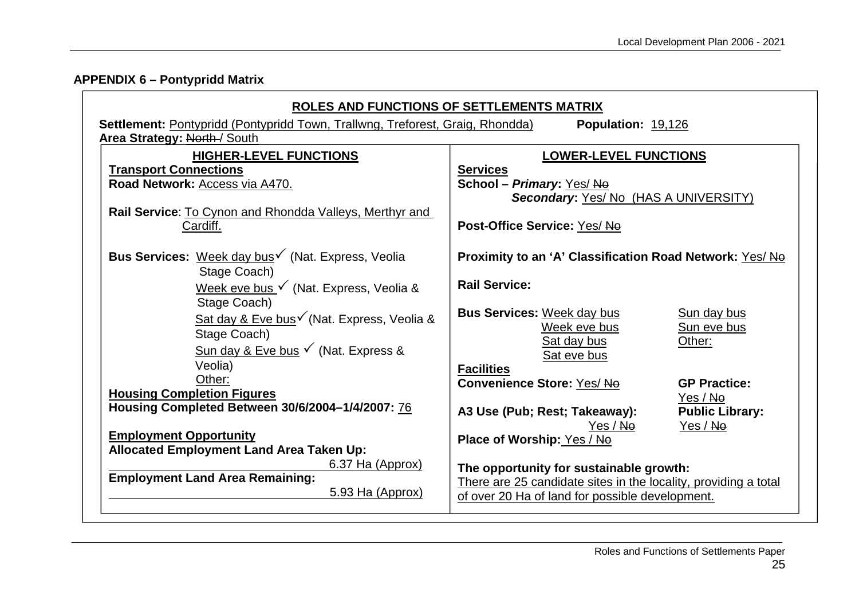# **APPENDIX 6 – Pontypridd Matrix**

|                                                                                                               | ROLES AND FUNCTIONS OF SETTLEMENTS MATRIX                         |                        |
|---------------------------------------------------------------------------------------------------------------|-------------------------------------------------------------------|------------------------|
| Settlement: Pontypridd (Pontypridd Town, Trallwng, Treforest, Graig, Rhondda)<br>Area Strategy: North / South | Population: 19,126                                                |                        |
| <b>HIGHER-LEVEL FUNCTIONS</b>                                                                                 | <b>LOWER-LEVEL FUNCTIONS</b>                                      |                        |
| <b>Transport Connections</b>                                                                                  | <b>Services</b>                                                   |                        |
| Road Network: Access via A470.                                                                                | School - Primary: Yes/No<br>Secondary: Yes/ No (HAS A UNIVERSITY) |                        |
| Rail Service: To Cynon and Rhondda Valleys, Merthyr and                                                       |                                                                   |                        |
| Cardiff.                                                                                                      | Post-Office Service: Yes/ No                                      |                        |
| Bus Services: Week day bus v (Nat. Express, Veolia<br>Proximity to an 'A' Classification Road Network: Yes/Ne |                                                                   |                        |
| Stage Coach)                                                                                                  |                                                                   |                        |
| Week eve bus V (Nat. Express, Veolia &                                                                        | <b>Rail Service:</b>                                              |                        |
| Stage Coach)                                                                                                  | <b>Bus Services: Week day bus</b>                                 | Sun day bus            |
| Sat day & Eve bus v (Nat. Express, Veolia &                                                                   | Week eve bus                                                      | Sun eve bus            |
| Stage Coach)<br>Sun day & Eve bus $\checkmark$ (Nat. Express &                                                | Sat day bus                                                       | Other:                 |
| Veolia)                                                                                                       | Sat eve bus                                                       |                        |
| Other:                                                                                                        | <b>Facilities</b><br>Convenience Store: Yes/No                    | <b>GP Practice:</b>    |
| <b>Housing Completion Figures</b>                                                                             |                                                                   | Yes / No               |
| Housing Completed Between 30/6/2004-1/4/2007: 76                                                              | A3 Use (Pub; Rest; Takeaway):                                     | <b>Public Library:</b> |
| <b>Employment Opportunity</b>                                                                                 | Yes / Ne                                                          | Yes / No               |
| <b>Allocated Employment Land Area Taken Up:</b>                                                               | Place of Worship: Yes / No                                        |                        |
| 6.37 Ha (Approx)                                                                                              | The opportunity for sustainable growth:                           |                        |
| <b>Employment Land Area Remaining:</b>                                                                        | There are 25 candidate sites in the locality, providing a total   |                        |
| 5.93 Ha (Approx)                                                                                              | of over 20 Ha of land for possible development.                   |                        |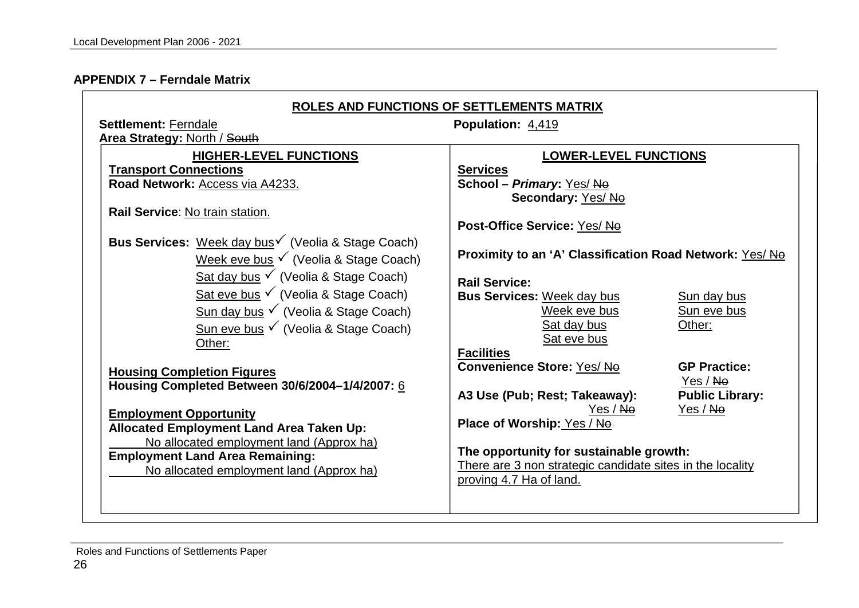#### **APPENDIX 7 – Ferndale Matrix**

| ROLES AND FUNCTIONS OF SETTLEMENTS MATRIX                                                                                                                                                                                                                                                                                                                                                                                                                                                                                                                                                                                                                                                                                                                                                                          |                                                                                                                                                                                                                                                                                                                                                                                                                                                                                                                                                                                                                                                                                       |  |
|--------------------------------------------------------------------------------------------------------------------------------------------------------------------------------------------------------------------------------------------------------------------------------------------------------------------------------------------------------------------------------------------------------------------------------------------------------------------------------------------------------------------------------------------------------------------------------------------------------------------------------------------------------------------------------------------------------------------------------------------------------------------------------------------------------------------|---------------------------------------------------------------------------------------------------------------------------------------------------------------------------------------------------------------------------------------------------------------------------------------------------------------------------------------------------------------------------------------------------------------------------------------------------------------------------------------------------------------------------------------------------------------------------------------------------------------------------------------------------------------------------------------|--|
| <b>Settlement: Ferndale</b>                                                                                                                                                                                                                                                                                                                                                                                                                                                                                                                                                                                                                                                                                                                                                                                        | <b>Population: 4,419</b>                                                                                                                                                                                                                                                                                                                                                                                                                                                                                                                                                                                                                                                              |  |
| Area Strategy: North / South<br><b>HIGHER-LEVEL FUNCTIONS</b><br><b>Transport Connections</b><br>Road Network: Access via A4233.<br>Rail Service: No train station.<br>Bus Services: Week day bus v (Veolia & Stage Coach)<br>Week eve bus $\checkmark$ (Veolia & Stage Coach)<br>Sat day bus $\checkmark$ (Veolia & Stage Coach)<br>Sat eve bus $\checkmark$ (Veolia & Stage Coach)<br>Sun day bus $\checkmark$ (Veolia & Stage Coach)<br>Sun eve bus $\checkmark$ (Veolia & Stage Coach)<br>Other:<br><b>Housing Completion Figures</b><br>Housing Completed Between 30/6/2004-1/4/2007: 6<br><b>Employment Opportunity</b><br><b>Allocated Employment Land Area Taken Up:</b><br>No allocated employment land (Approx ha)<br><b>Employment Land Area Remaining:</b><br>No allocated employment land (Approx ha) | <b>LOWER-LEVEL FUNCTIONS</b><br><b>Services</b><br>School - Primary: Yes/No<br>Secondary: Yes/No<br>Post-Office Service: Yes/ No<br><b>Proximity to an 'A' Classification Road Network: Yes/Ne</b><br><b>Rail Service:</b><br><b>Bus Services: Week day bus</b><br>Sun day bus<br>Week eve bus<br>Sun eve bus<br>Sat day bus<br>Other:<br>Sat eve bus<br><b>Facilities</b><br><b>Convenience Store: Yes/No</b><br><b>GP Practice:</b><br>Yes / No<br>A3 Use (Pub; Rest; Takeaway):<br><b>Public Library:</b><br>Yes / No<br>Yes / <del>No</del><br>Place of Worship: Yes / No<br>The opportunity for sustainable growth:<br>There are 3 non strategic candidate sites in the locality |  |
|                                                                                                                                                                                                                                                                                                                                                                                                                                                                                                                                                                                                                                                                                                                                                                                                                    | proving 4.7 Ha of land.                                                                                                                                                                                                                                                                                                                                                                                                                                                                                                                                                                                                                                                               |  |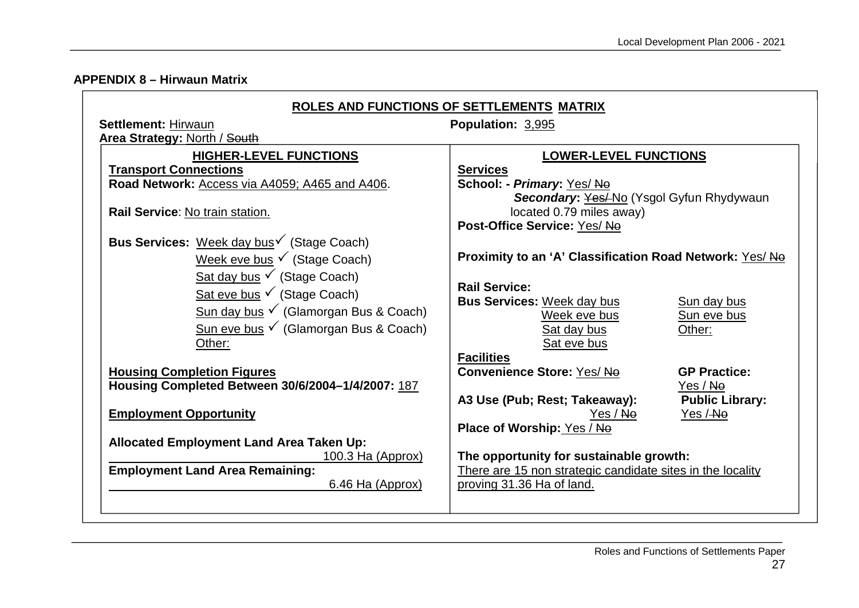### **APPENDIX 8 – Hirwaun Matrix**

| ROLES AND FUNCTIONS OF SETTLEMENTS MATRIX                                                                      |                                                                                                                                                                           |
|----------------------------------------------------------------------------------------------------------------|---------------------------------------------------------------------------------------------------------------------------------------------------------------------------|
| <b>Population: 3,995</b>                                                                                       |                                                                                                                                                                           |
|                                                                                                                |                                                                                                                                                                           |
| School: - Primary: Yes/No<br>Secondary: Yes/No (Ysgol Gyfun Rhydywaun                                          |                                                                                                                                                                           |
| located 0.79 miles away)<br>Post-Office Service: Yes/ No                                                       |                                                                                                                                                                           |
|                                                                                                                |                                                                                                                                                                           |
| <b>Rail Service:</b><br><b>Bus Services: Week day bus</b><br>Week eve bus<br><b>Sat day bus</b><br>Sat eve bus | Sun day bus<br>Sun eve bus<br>Other:                                                                                                                                      |
| <b>Facilities</b><br><b>Convenience Store: Yes/No</b>                                                          | <b>GP Practice:</b><br>Yes / No                                                                                                                                           |
| Yes / <del>No</del>                                                                                            | <b>Public Library:</b><br>Yes / No                                                                                                                                        |
| The opportunity for sustainable growth:                                                                        |                                                                                                                                                                           |
| There are 15 non strategic candidate sites in the locality<br>proving 31.36 Ha of land.                        |                                                                                                                                                                           |
|                                                                                                                | <b>LOWER-LEVEL FUNCTIONS</b><br><b>Services</b><br>Proximity to an 'A' Classification Road Network: Yes/No<br>A3 Use (Pub; Rest; Takeaway):<br>Place of Worship: Yes / No |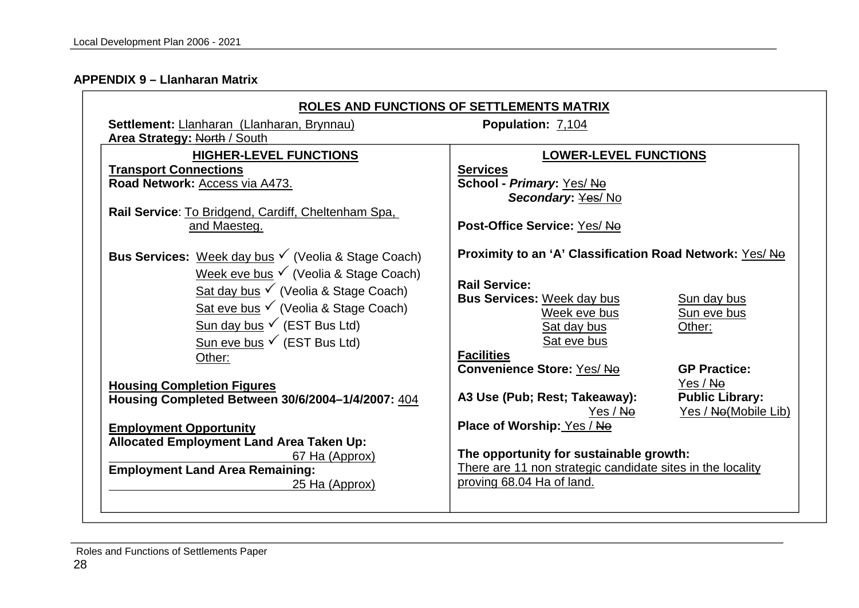## **APPENDIX 9 – Llanharan Matrix**

|                                                                                                                                                                                                    | ROLES AND FUNCTIONS OF SETTLEMENTS MATRIX                                                                                            |                                                |
|----------------------------------------------------------------------------------------------------------------------------------------------------------------------------------------------------|--------------------------------------------------------------------------------------------------------------------------------------|------------------------------------------------|
| Settlement: Llanharan (Llanharan, Brynnau)<br><b>Area Strategy: North / South</b>                                                                                                                  | Population: 7,104                                                                                                                    |                                                |
| <b>HIGHER-LEVEL FUNCTIONS</b><br><b>Transport Connections</b><br>Road Network: Access via A473.                                                                                                    | <b>LOWER-LEVEL FUNCTIONS</b><br><b>Services</b><br>School - Primary: Yes/No<br>Secondary: Yes/No                                     |                                                |
| Rail Service: To Bridgend, Cardiff, Cheltenham Spa,<br>and Maesteg.                                                                                                                                | Post-Office Service: Yes/ No                                                                                                         |                                                |
| Bus Services: Week day bus V (Veolia & Stage Coach)<br>Week eve bus V (Veolia & Stage Coach)<br>Sat day bus $\checkmark$ (Veolia & Stage Coach)<br>Sat eve bus $\checkmark$ (Veolia & Stage Coach) | Proximity to an 'A' Classification Road Network: Yes/No<br><b>Rail Service:</b><br><b>Bus Services: Week day bus</b><br>Week eve bus | Sun day bus<br>Sun eve bus                     |
| Sun day bus $\checkmark$ (EST Bus Ltd)<br>Sun eve bus $\checkmark$ (EST Bus Ltd)<br>Other:                                                                                                         | <b>Sat day bus</b><br>Sat eve bus<br><b>Facilities</b><br><b>Convenience Store: Yes/Ne</b>                                           | Other:<br><b>GP Practice:</b><br>Yes / Ne      |
| <b>Housing Completion Figures</b><br>Housing Completed Between 30/6/2004-1/4/2007: 404                                                                                                             | A3 Use (Pub; Rest; Takeaway):<br>Yes / <del>No</del>                                                                                 | <b>Public Library:</b><br>Yes / No(Mobile Lib) |
| <b>Employment Opportunity</b><br><b>Allocated Employment Land Area Taken Up:</b><br>67 Ha (Approx)<br><b>Employment Land Area Remaining:</b>                                                       | Place of Worship: Yes / No<br>The opportunity for sustainable growth:<br>There are 11 non strategic candidate sites in the locality  |                                                |
| 25 Ha (Approx)                                                                                                                                                                                     | proving 68.04 Ha of land.                                                                                                            |                                                |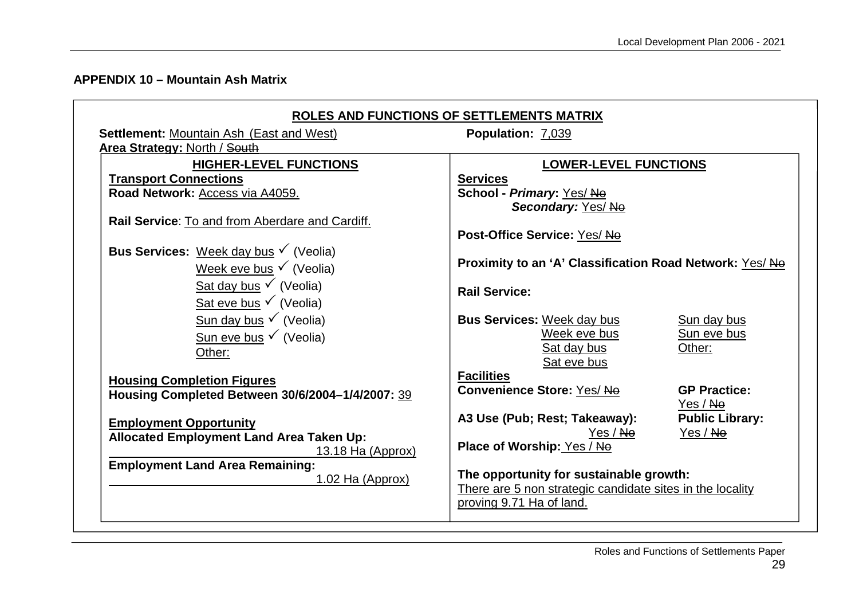## **APPENDIX 10 – Mountain Ash Matrix**

| <b>Settlement: Mountain Ash (East and West)</b>  | Population: 7,039                                         |                                    |
|--------------------------------------------------|-----------------------------------------------------------|------------------------------------|
| Area Strategy: North / South                     |                                                           |                                    |
| <b>HIGHER-LEVEL FUNCTIONS</b>                    | <b>LOWER-LEVEL FUNCTIONS</b>                              |                                    |
| <b>Transport Connections</b>                     | <b>Services</b>                                           |                                    |
| Road Network: Access via A4059.                  | School - Primary: Yes/No<br>Secondary: Yes/No             |                                    |
| Rail Service: To and from Aberdare and Cardiff.  |                                                           |                                    |
|                                                  | Post-Office Service: Yes/ No                              |                                    |
| Bus Services: Week day bus $\checkmark$ (Veolia) |                                                           |                                    |
| Week eve bus $\checkmark$ (Veolia)               | Proximity to an 'A' Classification Road Network: Yes/No   |                                    |
| Sat day bus $\checkmark$ (Veolia)                | <b>Rail Service:</b>                                      |                                    |
| Sat eve bus $\checkmark$ (Veolia)                |                                                           |                                    |
| Sun day bus $\checkmark$ (Veolia)                | <b>Bus Services: Week day bus</b>                         | Sun day bus                        |
| Sun eve bus $\checkmark$ (Veolia)                | Week eve bus                                              | Sun eve bus                        |
| Other:                                           | Sat day bus                                               | Other:                             |
|                                                  | Sat eve bus                                               |                                    |
| <b>Housing Completion Figures</b>                | <b>Facilities</b>                                         |                                    |
| Housing Completed Between 30/6/2004-1/4/2007: 39 | <b>Convenience Store: Yes/Ne</b>                          | <b>GP Practice:</b>                |
|                                                  |                                                           | Yes / No                           |
| <b>Employment Opportunity</b>                    | A3 Use (Pub; Rest; Takeaway):<br>Yes / No                 | <b>Public Library:</b><br>Yes / No |
| <b>Allocated Employment Land Area Taken Up:</b>  | Place of Worship: Yes / No                                |                                    |
| 13.18 Ha (Approx)                                |                                                           |                                    |
| <b>Employment Land Area Remaining:</b>           | The opportunity for sustainable growth:                   |                                    |
| 1.02 Ha (Approx)                                 | There are 5 non strategic candidate sites in the locality |                                    |
|                                                  | proving 9.71 Ha of land.                                  |                                    |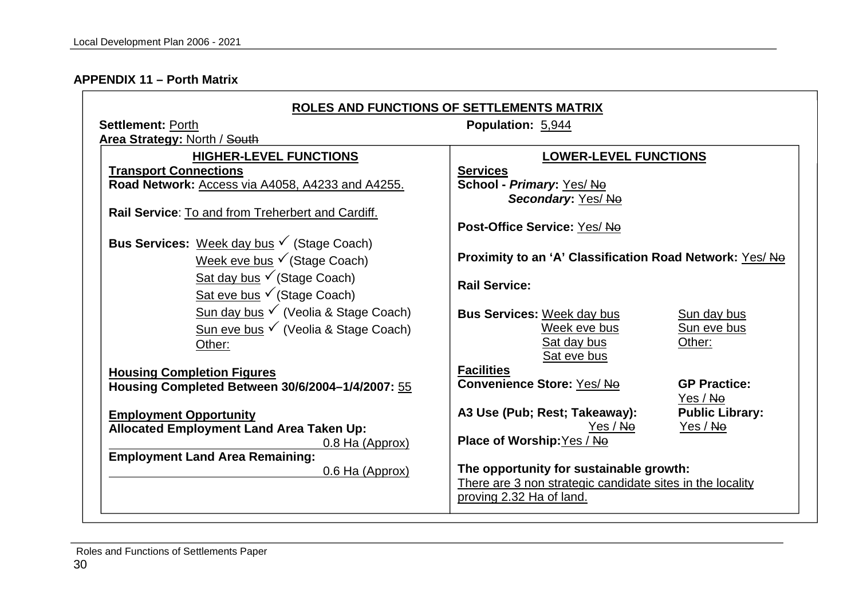#### **APPENDIX 11 – Porth Matrix**

| ROLES AND FUNCTIONS OF SETTLEMENTS MATRIX                  |                                                                                 |  |
|------------------------------------------------------------|---------------------------------------------------------------------------------|--|
| <b>Settlement: Porth</b><br>Population: 5,944              |                                                                                 |  |
| Area Strategy: North / South                               |                                                                                 |  |
| <b>HIGHER-LEVEL FUNCTIONS</b>                              | <b>LOWER-LEVEL FUNCTIONS</b>                                                    |  |
| <b>Transport Connections</b>                               | <b>Services</b>                                                                 |  |
| Road Network: Access via A4058, A4233 and A4255.           | School - Primary: Yes/No<br>Secondary: Yes/No                                   |  |
| Rail Service: To and from Treherbert and Cardiff.          |                                                                                 |  |
|                                                            | Post-Office Service: Yes/ No                                                    |  |
| Bus Services: Week day bus √ (Stage Coach)                 |                                                                                 |  |
| Week eve bus V (Stage Coach)                               | <b>Proximity to an 'A' Classification Road Network: Yes/No</b>                  |  |
| Sat day bus $\checkmark$ (Stage Coach)                     | <b>Rail Service:</b>                                                            |  |
| Sat eve bus $\checkmark$ (Stage Coach)                     |                                                                                 |  |
| Sun day bus $\checkmark$ (Veolia & Stage Coach)            | <b>Bus Services: Week day bus</b><br>Sun day bus                                |  |
| Sun eve bus $\checkmark$ (Veolia & Stage Coach)            | Sun eve bus<br>Week eve bus                                                     |  |
| Other:                                                     | Sat day bus<br>Other:                                                           |  |
|                                                            | Sat eve bus                                                                     |  |
| <b>Housing Completion Figures</b>                          | <b>Facilities</b>                                                               |  |
| Housing Completed Between 30/6/2004-1/4/2007: 55           | <b>Convenience Store: Yes/No</b><br><b>GP Practice:</b>                         |  |
|                                                            | Yes / No                                                                        |  |
| <b>Employment Opportunity</b>                              | A3 Use (Pub; Rest; Takeaway):<br><b>Public Library:</b><br>Yes / Ne<br>Yes / No |  |
| <b>Allocated Employment Land Area Taken Up:</b>            | Place of Worship: Yes / No                                                      |  |
| 0.8 Ha (Approx)<br><b>Employment Land Area Remaining:</b>  |                                                                                 |  |
| The opportunity for sustainable growth:<br>0.6 Ha (Approx) |                                                                                 |  |
| There are 3 non strategic candidate sites in the locality  |                                                                                 |  |
| proving 2.32 Ha of land.                                   |                                                                                 |  |
|                                                            |                                                                                 |  |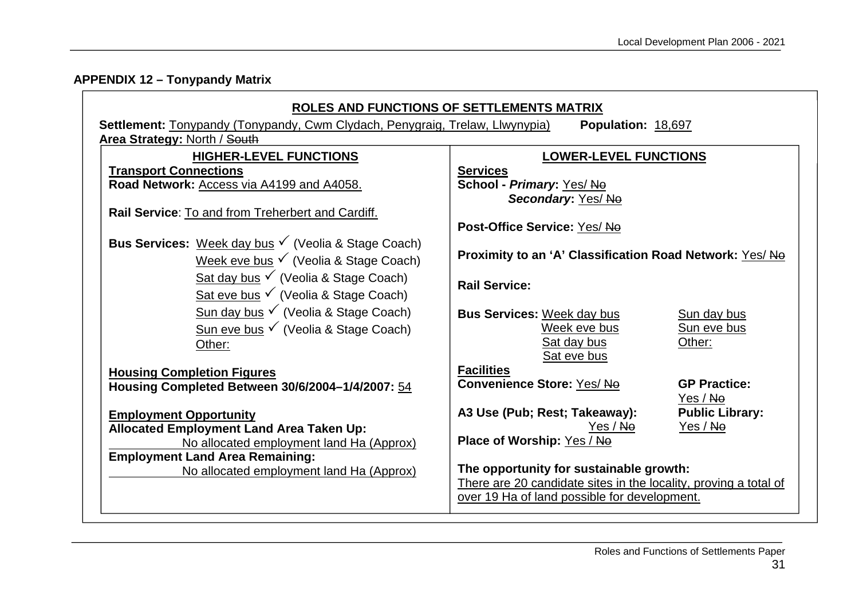# **APPENDIX 12 – Tonypandy Matrix**

|                                                                                                                                                         | ROLES AND FUNCTIONS OF SETTLEMENTS MATRIX               |                        |
|---------------------------------------------------------------------------------------------------------------------------------------------------------|---------------------------------------------------------|------------------------|
| <b>Settlement:</b> Tonypandy (Tonypandy, Cwm Clydach, Penygraig, Trelaw, Llwynypia)                                                                     | Population: 18,697                                      |                        |
| Area Strategy: North / South                                                                                                                            |                                                         |                        |
| <b>HIGHER-LEVEL FUNCTIONS</b><br><b>Transport Connections</b>                                                                                           | <b>LOWER-LEVEL FUNCTIONS</b><br><b>Services</b>         |                        |
| Road Network: Access via A4199 and A4058.                                                                                                               | School - Primary: Yes/No                                |                        |
|                                                                                                                                                         | Secondary: Yes/No                                       |                        |
| Rail Service: To and from Treherbert and Cardiff.                                                                                                       |                                                         |                        |
| Post-Office Service: Yes/Ne                                                                                                                             |                                                         |                        |
| Bus Services: Week day bus V (Veolia & Stage Coach)                                                                                                     |                                                         |                        |
| Week eve bus $\checkmark$ (Veolia & Stage Coach)                                                                                                        | Proximity to an 'A' Classification Road Network: Yes/No |                        |
| Sat day bus $\checkmark$ (Veolia & Stage Coach)                                                                                                         | <b>Rail Service:</b>                                    |                        |
| Sat eve bus $\checkmark$ (Veolia & Stage Coach)                                                                                                         |                                                         |                        |
| Sun day bus V (Veolia & Stage Coach)                                                                                                                    | <b>Bus Services: Week day bus</b>                       | Sun day bus            |
| Sun eve bus $\checkmark$ (Veolia & Stage Coach)                                                                                                         | Week eve bus                                            | Sun eve bus            |
| Other:                                                                                                                                                  | Sat day bus                                             | Other:                 |
|                                                                                                                                                         | Sat eve bus                                             |                        |
| <b>Housing Completion Figures</b>                                                                                                                       | <b>Facilities</b><br><b>Convenience Store: Yes/Ne</b>   | <b>GP Practice:</b>    |
| Housing Completed Between 30/6/2004-1/4/2007: 54                                                                                                        |                                                         | Yes / No               |
| <b>Employment Opportunity</b>                                                                                                                           | A3 Use (Pub; Rest; Takeaway):                           | <b>Public Library:</b> |
| <b>Allocated Employment Land Area Taken Up:</b>                                                                                                         | Yes / Ne                                                | Yes / No               |
| No allocated employment land Ha (Approx)                                                                                                                | <b>Place of Worship: Yes / No</b>                       |                        |
| <b>Employment Land Area Remaining:</b>                                                                                                                  |                                                         |                        |
| The opportunity for sustainable growth:<br>No allocated employment land Ha (Approx)<br>There are 20 candidate sites in the locality, proving a total of |                                                         |                        |
| over 19 Ha of land possible for development.                                                                                                            |                                                         |                        |
|                                                                                                                                                         |                                                         |                        |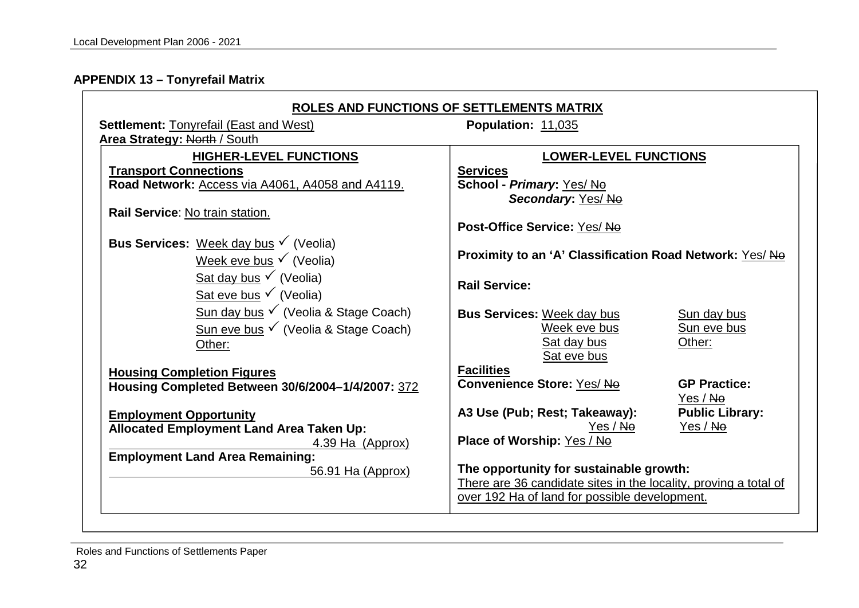# **APPENDIX 13 – Tonyrefail Matrix**

| <b>Settlement: Tonyrefail (East and West)</b><br>Area Strategy: North / South                        | Population: 11,035                                                                                                                                           |                                      |  |  |  |  |
|------------------------------------------------------------------------------------------------------|--------------------------------------------------------------------------------------------------------------------------------------------------------------|--------------------------------------|--|--|--|--|
| <b>HIGHER-LEVEL FUNCTIONS</b><br><b>Transport Connections</b>                                        | <b>LOWER-LEVEL FUNCTIONS</b><br><b>Services</b>                                                                                                              |                                      |  |  |  |  |
| Road Network: Access via A4061, A4058 and A4119.<br>Rail Service: No train station.                  | School - Primary: Yes/No<br>Secondary: Yes/No                                                                                                                |                                      |  |  |  |  |
|                                                                                                      | Post-Office Service: Yes/No                                                                                                                                  |                                      |  |  |  |  |
| Bus Services: Week day bus $\checkmark$ (Veolia)<br>Week eve bus $\checkmark$ (Veolia)               | <b>Proximity to an 'A' Classification Road Network: Yes/Network:</b>                                                                                         |                                      |  |  |  |  |
| Sat day bus $\checkmark$ (Veolia)<br>Sat eve bus $\checkmark$ (Veolia)                               | <b>Rail Service:</b>                                                                                                                                         |                                      |  |  |  |  |
| Sun day bus $\checkmark$ (Veolia & Stage Coach)<br>Sun eve bus V (Veolia & Stage Coach)<br>Other:    | <b>Bus Services: Week day bus</b><br>Week eve bus<br>Sat day bus<br>Sat eve bus                                                                              | Sun day bus<br>Sun eve bus<br>Other: |  |  |  |  |
| <b>Housing Completion Figures</b><br>Housing Completed Between 30/6/2004-1/4/2007: 372               | <b>Facilities</b><br><b>Convenience Store: Yes/Ne</b>                                                                                                        | <b>GP Practice:</b><br>Yes / Ne      |  |  |  |  |
| <b>Employment Opportunity</b><br><b>Allocated Employment Land Area Taken Up:</b><br>4.39 Ha (Approx) | A3 Use (Pub; Rest; Takeaway):<br>Yes / No<br>Place of Worship: Yes / No                                                                                      | <b>Public Library:</b><br>Yes / No   |  |  |  |  |
| <b>Employment Land Area Remaining:</b><br>56.91 Ha (Approx)                                          | The opportunity for sustainable growth:<br>There are 36 candidate sites in the locality, proving a total of<br>over 192 Ha of land for possible development. |                                      |  |  |  |  |

Roles and Functions of Settlements Paper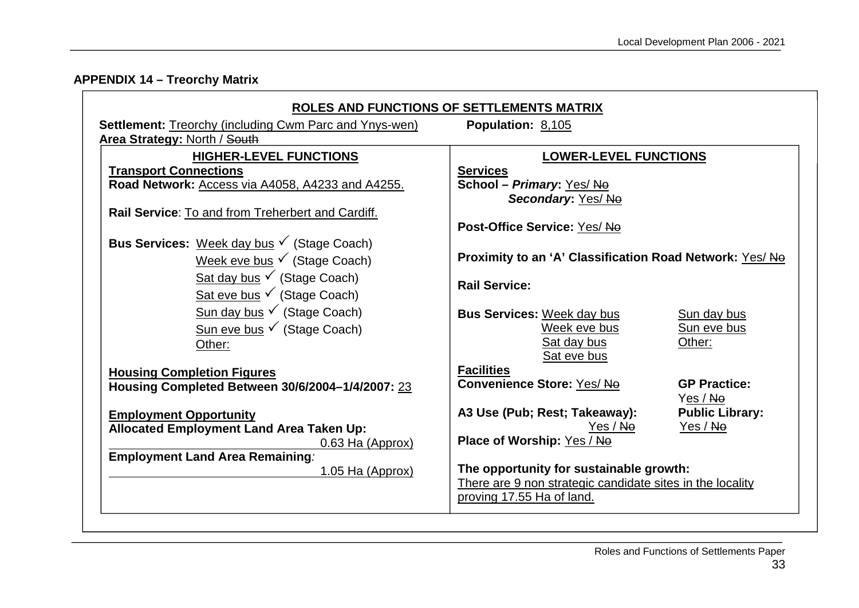# **APPENDIX 14 – Treorchy Matrix**

| <b>Settlement:</b> Treorchy (including Cwm Parc and Ynys-wen)<br>Area Strategy: North / South | Population: 8,105                                                    |                                    |  |  |  |  |
|-----------------------------------------------------------------------------------------------|----------------------------------------------------------------------|------------------------------------|--|--|--|--|
| <b>HIGHER-LEVEL FUNCTIONS</b>                                                                 | <b>LOWER-LEVEL FUNCTIONS</b>                                         |                                    |  |  |  |  |
| <b>Transport Connections</b>                                                                  | <b>Services</b>                                                      |                                    |  |  |  |  |
| Road Network: Access via A4058, A4233 and A4255.                                              | School - Primary: Yes/No                                             |                                    |  |  |  |  |
|                                                                                               | Secondary: Yes/No                                                    |                                    |  |  |  |  |
| Rail Service: To and from Treherbert and Cardiff.                                             |                                                                      |                                    |  |  |  |  |
|                                                                                               | Post-Office Service: Yes/ No                                         |                                    |  |  |  |  |
| <b>Bus Services:</b> Week day bus $\checkmark$ (Stage Coach)                                  |                                                                      |                                    |  |  |  |  |
| Week eve bus $\checkmark$ (Stage Coach)                                                       | <b>Proximity to an 'A' Classification Road Network: Yes/Network:</b> |                                    |  |  |  |  |
| Sat day bus $\checkmark$ (Stage Coach)                                                        | <b>Rail Service:</b>                                                 |                                    |  |  |  |  |
| Sat eve bus $\checkmark$ (Stage Coach)                                                        |                                                                      |                                    |  |  |  |  |
| Sun day bus $\checkmark$ (Stage Coach)                                                        | <b>Bus Services: Week day bus</b>                                    | Sun day bus                        |  |  |  |  |
| Sun eve bus $\checkmark$ (Stage Coach)                                                        | Week eve bus                                                         | Sun eve bus                        |  |  |  |  |
| Other:                                                                                        | Sat day bus                                                          | Other:                             |  |  |  |  |
|                                                                                               | Sat eve bus                                                          |                                    |  |  |  |  |
| <b>Housing Completion Figures</b>                                                             | <b>Facilities</b>                                                    |                                    |  |  |  |  |
| <b>Housing Completed Between 30/6/2004-1/4/2007: 23</b>                                       | <b>Convenience Store: Yes/Ne</b>                                     | <b>GP Practice:</b>                |  |  |  |  |
|                                                                                               | A3 Use (Pub; Rest; Takeaway):                                        | Yes / No<br><b>Public Library:</b> |  |  |  |  |
| <b>Employment Opportunity</b><br><b>Allocated Employment Land Area Taken Up:</b>              | Yes / No                                                             | Yes / No                           |  |  |  |  |
| 0.63 Ha (Approx)                                                                              | Place of Worship: Yes / No                                           |                                    |  |  |  |  |
| <b>Employment Land Area Remaining:</b>                                                        |                                                                      |                                    |  |  |  |  |
| 1.05 Ha (Approx)                                                                              | The opportunity for sustainable growth:                              |                                    |  |  |  |  |
|                                                                                               | There are 9 non strategic candidate sites in the locality            |                                    |  |  |  |  |
|                                                                                               | proving 17.55 Ha of land.                                            |                                    |  |  |  |  |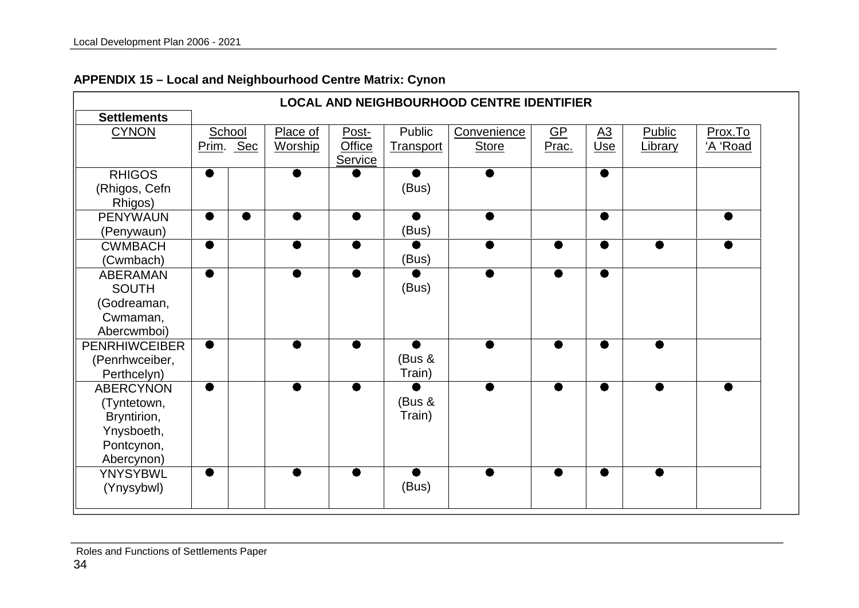| <b>LOCAL AND NEIGHBOURHOOD CENTRE IDENTIFIER</b> |           |          |           |           |              |                 |                  |               |          |  |
|--------------------------------------------------|-----------|----------|-----------|-----------|--------------|-----------------|------------------|---------------|----------|--|
| <b>Settlements</b>                               |           |          |           |           |              |                 |                  |               |          |  |
| <b>CYNON</b>                                     | School    | Place of | Post-     | Public    | Convenience  | $\overline{GP}$ | $\underline{A3}$ | <b>Public</b> | Prox.To  |  |
|                                                  | Prim. Sec | Worship  | Office    | Transport | <b>Store</b> | Prac.           | Use              | Library       | 'A 'Road |  |
|                                                  |           |          | Service   |           |              |                 |                  |               |          |  |
| <b>RHIGOS</b>                                    | $\bullet$ |          |           | $\bullet$ | ●            |                 | $\bullet$        |               |          |  |
| (Rhigos, Cefn                                    |           |          |           | (Bus)     |              |                 |                  |               |          |  |
| Rhigos)                                          |           |          |           |           |              |                 |                  |               |          |  |
| <b>PENYWAUN</b>                                  | 0         |          | ●         |           |              |                 |                  |               |          |  |
| (Penywaun)                                       |           |          |           | (Bus)     |              |                 |                  |               |          |  |
| <b>CWMBACH</b>                                   | ●         |          |           |           |              |                 |                  |               |          |  |
| (Cwmbach)                                        |           |          |           | (Bus)     |              |                 |                  |               |          |  |
| <b>ABERAMAN</b>                                  | $\bullet$ |          | $\bullet$ |           | ●            |                 | $\bullet$        |               |          |  |
| <b>SOUTH</b>                                     |           |          |           | (Bus)     |              |                 |                  |               |          |  |
| (Godreaman,                                      |           |          |           |           |              |                 |                  |               |          |  |
| Cwmaman,                                         |           |          |           |           |              |                 |                  |               |          |  |
| Abercwmboi)                                      |           |          |           |           |              |                 |                  |               |          |  |
| <b>PENRHIWCEIBER</b>                             | $\bullet$ |          | ▲         |           |              |                 |                  |               |          |  |
| (Penrhwceiber,                                   |           |          |           | (Bus &    |              |                 |                  |               |          |  |
| Perthcelyn)                                      |           |          |           | Train)    |              |                 |                  |               |          |  |
| <b>ABERCYNON</b>                                 | ●         |          | $\bullet$ |           |              |                 | ●                | ●             |          |  |
| (Tyntetown,                                      |           |          |           | (Bus &    |              |                 |                  |               |          |  |
| Bryntirion,                                      |           |          |           | Train)    |              |                 |                  |               |          |  |
| Ynysboeth,                                       |           |          |           |           |              |                 |                  |               |          |  |
| Pontcynon,                                       |           |          |           |           |              |                 |                  |               |          |  |
| Abercynon)                                       |           |          |           |           |              |                 |                  |               |          |  |
| <b>YNYSYBWL</b>                                  | ●         |          | ●         | ●         |              |                 | ●                | $\bullet$     |          |  |
| (Ynysybwl)                                       |           |          |           | (Bus)     |              |                 |                  |               |          |  |
|                                                  |           |          |           |           |              |                 |                  |               |          |  |

# **APPENDIX 15 – Local and Neighbourhood Centre Matrix: Cynon**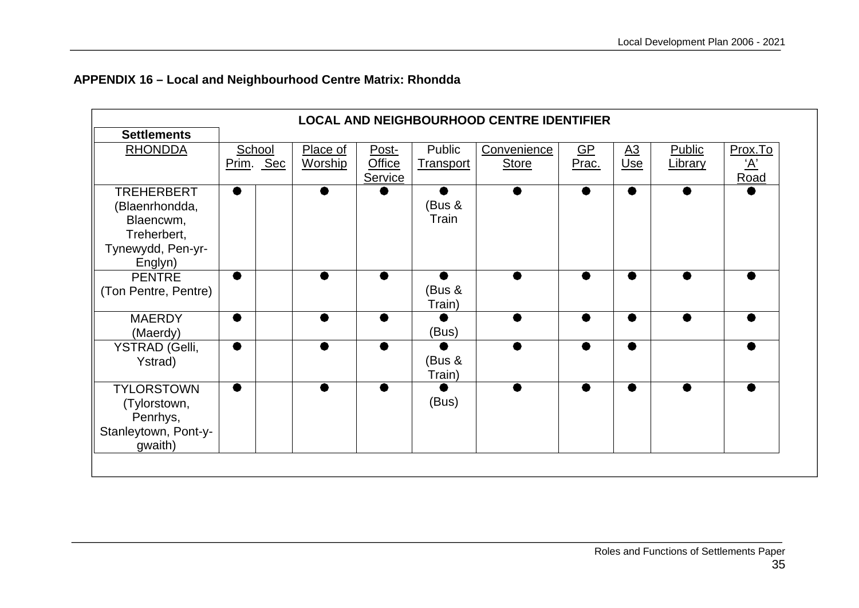# **APPENDIX 16 – Local and Neighbourhood Centre Matrix: Rhondda**

| <b>LOCAL AND NEIGHBOURHOOD CENTRE IDENTIFIER</b>                                                |           |                            |                            |                                   |                            |                             |                                    |                         |                          |                               |
|-------------------------------------------------------------------------------------------------|-----------|----------------------------|----------------------------|-----------------------------------|----------------------------|-----------------------------|------------------------------------|-------------------------|--------------------------|-------------------------------|
| <b>Settlements</b>                                                                              |           |                            |                            |                                   |                            |                             |                                    |                         |                          |                               |
| <b>RHONDDA</b>                                                                                  |           | School<br><u>Prim. Sec</u> | Place of<br><b>Worship</b> | Post-<br><b>Office</b><br>Service | Public<br><b>Transport</b> | Convenience<br><b>Store</b> | $\underline{\mathsf{GP}}$<br>Prac. | $\underline{A3}$<br>Use | <b>Public</b><br>Library | Prox.To<br><u>'A'</u><br>Road |
| <b>TREHERBERT</b><br>(Blaenrhondda,<br>Blaencwm,<br>Treherbert,<br>Tynewydd, Pen-yr-<br>Englyn) | $\bullet$ |                            | ●                          |                                   | ●<br>(Bus &<br>Train       |                             |                                    | $\bullet$               | $\bullet$                |                               |
| <b>PENTRE</b><br>(Ton Pentre, Pentre)                                                           | ●         |                            |                            |                                   | (Bus &<br>Train)           |                             |                                    |                         |                          |                               |
| <b>MAERDY</b><br>(Maerdy)                                                                       | $\bullet$ |                            |                            | ●                                 | (Bus)                      |                             |                                    | ●                       | $\bullet$                |                               |
| YSTRAD (Gelli,<br>Ystrad)                                                                       | $\bullet$ |                            |                            |                                   | (Bus &<br>Train)           |                             |                                    | -                       |                          |                               |
| <b>TYLORSTOWN</b><br>(Tylorstown,<br>Penrhys,<br>Stanleytown, Pont-y-<br>gwaith)                | $\bullet$ |                            |                            | ●                                 | (Bus)                      |                             |                                    | ●                       | $\bullet$                |                               |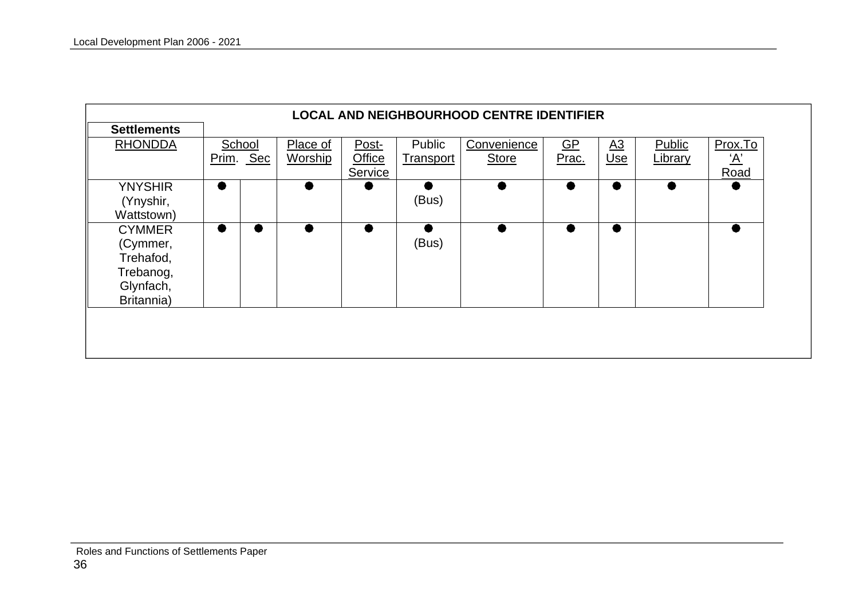| <b>LOCAL AND NEIGHBOURHOOD CENTRE IDENTIFIER</b> |           |                |         |                  |              |                           |                  |           |            |  |  |
|--------------------------------------------------|-----------|----------------|---------|------------------|--------------|---------------------------|------------------|-----------|------------|--|--|
| <b>Settlements</b>                               |           |                |         |                  |              |                           |                  |           |            |  |  |
| <b>RHONDDA</b>                                   | School    | Place of       | Post-   | Public           | Convenience  | $\underline{\mathsf{GP}}$ | $\underline{A3}$ | Public    | Prox.To    |  |  |
|                                                  | Prim. Sec | <b>Worship</b> | Office  | <b>Transport</b> | <b>Store</b> | Prac.                     | U <sub>se</sub>  | Library   | <u>'А'</u> |  |  |
|                                                  |           |                | Service |                  |              |                           |                  |           | Road       |  |  |
| <b>YNYSHIR</b>                                   | œ         |                |         |                  |              |                           |                  | $\bullet$ |            |  |  |
| (Ynyshir,                                        |           |                |         | (Bus)            |              |                           |                  |           |            |  |  |
| Wattstown)                                       |           |                |         |                  |              |                           |                  |           |            |  |  |
| <b>CYMMER</b>                                    | ●         |                |         |                  |              |                           |                  |           |            |  |  |
| (Cymmer,                                         |           |                |         | (Bus)            |              |                           |                  |           |            |  |  |
| Trehafod,                                        |           |                |         |                  |              |                           |                  |           |            |  |  |
| Trebanog,                                        |           |                |         |                  |              |                           |                  |           |            |  |  |
| Glynfach,                                        |           |                |         |                  |              |                           |                  |           |            |  |  |
| Britannia)                                       |           |                |         |                  |              |                           |                  |           |            |  |  |
|                                                  |           |                |         |                  |              |                           |                  |           |            |  |  |
|                                                  |           |                |         |                  |              |                           |                  |           |            |  |  |
|                                                  |           |                |         |                  |              |                           |                  |           |            |  |  |
|                                                  |           |                |         |                  |              |                           |                  |           |            |  |  |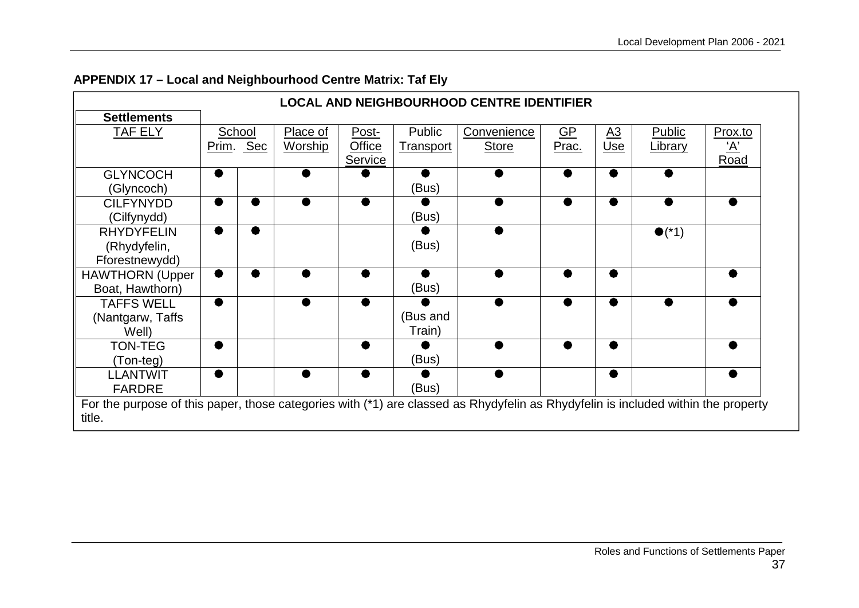|                                                                                                                                             |                  |                |                          |                  | <b>LOCAL AND NEIGHBOURHOOD CENTRE IDENTIFIER</b> |       |                  |                |                    |
|---------------------------------------------------------------------------------------------------------------------------------------------|------------------|----------------|--------------------------|------------------|--------------------------------------------------|-------|------------------|----------------|--------------------|
| <b>Settlements</b>                                                                                                                          |                  |                |                          |                  |                                                  |       |                  |                |                    |
| TAF ELY                                                                                                                                     | School           | Place of       | Post-                    | Public           | Convenience                                      | $GP$  | $\underline{A3}$ | Public         | Prox.to            |
|                                                                                                                                             | <u>Prim. Sec</u> | <b>Worship</b> | <b>Office</b><br>Service | <b>Transport</b> | <b>Store</b>                                     | Prac. | Use              | <b>Library</b> | <u>'A'</u><br>Road |
| <b>GLYNCOCH</b>                                                                                                                             |                  |                |                          |                  |                                                  |       |                  |                |                    |
| (Glyncoch)                                                                                                                                  |                  |                |                          | (Bus)            |                                                  |       |                  |                |                    |
| <b>CILFYNYDD</b>                                                                                                                            |                  |                | 9                        |                  |                                                  |       |                  |                |                    |
| (Cilfynydd)                                                                                                                                 |                  |                |                          | (Bus)            |                                                  |       |                  |                |                    |
| <b>RHYDYFELIN</b>                                                                                                                           |                  |                |                          |                  |                                                  |       |                  | $\bullet$ (*1) |                    |
| (Rhydyfelin,                                                                                                                                |                  |                |                          | (Bus)            |                                                  |       |                  |                |                    |
| Fforestnewydd)                                                                                                                              |                  |                |                          |                  |                                                  |       |                  |                |                    |
| <b>HAWTHORN</b> (Upper                                                                                                                      |                  |                |                          |                  |                                                  |       | ●                |                |                    |
| Boat, Hawthorn)                                                                                                                             |                  |                |                          | (Bus)            |                                                  |       |                  |                |                    |
| <b>TAFFS WELL</b>                                                                                                                           |                  |                |                          |                  |                                                  |       |                  |                |                    |
| (Nantgarw, Taffs)                                                                                                                           |                  |                |                          | (Bus and         |                                                  |       |                  |                |                    |
| Well)                                                                                                                                       |                  |                |                          | Train)           |                                                  |       |                  |                |                    |
| <b>TON-TEG</b>                                                                                                                              |                  |                |                          |                  |                                                  |       | D                |                |                    |
| (Ton-teg)                                                                                                                                   |                  |                |                          | (Bus)            |                                                  |       |                  |                |                    |
| <b>LLANTWIT</b>                                                                                                                             |                  |                |                          |                  |                                                  |       | ●                |                |                    |
| <b>FARDRE</b>                                                                                                                               |                  |                |                          | (Bus)            |                                                  |       |                  |                |                    |
| For the purpose of this paper, those categories with (*1) are classed as Rhydyfelin as Rhydyfelin is included within the property<br>title. |                  |                |                          |                  |                                                  |       |                  |                |                    |

# **APPENDIX 17 – Local and Neighbourhood Centre Matrix: Taf Ely**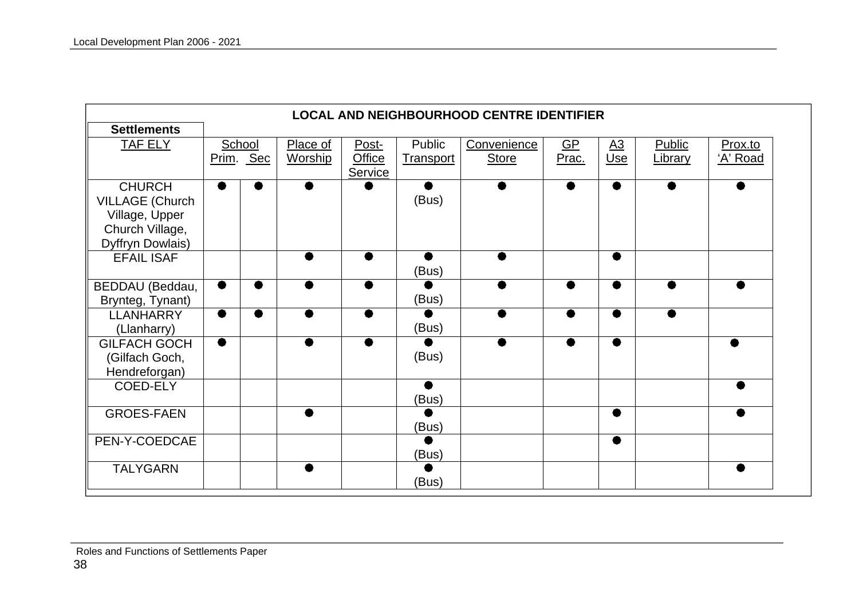| <b>LOCAL AND NEIGHBOURHOOD CENTRE IDENTIFIER</b>                             |           |   |          |                          |                    |              |                           |                  |               |           |
|------------------------------------------------------------------------------|-----------|---|----------|--------------------------|--------------------|--------------|---------------------------|------------------|---------------|-----------|
| <b>Settlements</b>                                                           |           |   |          |                          |                    |              |                           |                  |               |           |
| <b>TAF ELY</b>                                                               | School    |   | Place of | Post-                    | Public             | Convenience  | $\underline{\mathsf{GP}}$ | $\underline{A3}$ | <b>Public</b> | Prox.to   |
|                                                                              | Prim. Sec |   | Worship  | <b>Office</b><br>Service | Transport          | <b>Store</b> | Prac.                     | Use              | Library       | 'A' Road  |
| <b>CHURCH</b><br><b>VILLAGE (Church</b><br>Village, Upper<br>Church Village, |           |   |          |                          | $\bullet$<br>(Bus) |              |                           | ●                |               | ●         |
| Dyffryn Dowlais)                                                             |           |   |          |                          |                    |              |                           |                  |               |           |
| <b>EFAIL ISAF</b>                                                            |           |   |          | $\bullet$                | ●<br>(Bus)         |              |                           | ●                |               |           |
| BEDDAU (Beddau,<br>Brynteg, Tynant)                                          | $\bullet$ | ● |          | ▲                        | (Bus)              |              |                           | ●                | ●             |           |
| <b>LLANHARRY</b><br>(Llanharry)                                              | $\bullet$ |   |          | ●                        | (Bus)              |              |                           | ●                |               |           |
| <b>GILFACH GOCH</b><br>(Gilfach Goch,<br>Hendreforgan)                       | $\bullet$ |   |          |                          | (Bus)              |              |                           |                  |               |           |
| COED-ELY                                                                     |           |   |          |                          | $\bullet$<br>(Bus) |              |                           |                  |               |           |
| <b>GROES-FAEN</b>                                                            |           |   |          |                          | (Bus)              |              |                           | ●                |               |           |
| PEN-Y-COEDCAE                                                                |           |   |          |                          | (Bus)              |              |                           | ●                |               |           |
| <b>TALYGARN</b>                                                              |           |   |          |                          | (Bus)              |              |                           |                  |               | $\bullet$ |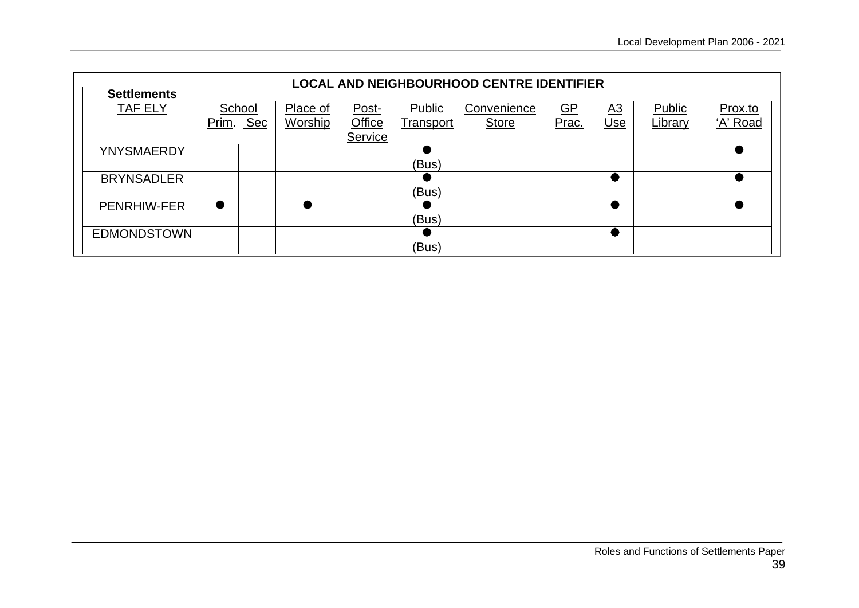| <b>LOCAL AND NEIGHBOURHOOD CENTRE IDENTIFIER</b> |       |        |          |         |           |              |           |            |         |          |  |  |
|--------------------------------------------------|-------|--------|----------|---------|-----------|--------------|-----------|------------|---------|----------|--|--|
| <b>Settlements</b>                               |       |        |          |         |           |              |           |            |         |          |  |  |
| <b>TAF ELY</b>                                   |       | School | Place of | Post-   | Public    | Convenience  | <u>GP</u> | <u>A3</u>  | Public  | Prox.to  |  |  |
|                                                  | Prim. | Sec    | Worship  | Office  | Transport | <b>Store</b> | Prac.     | <u>Use</u> | Library | 'A' Road |  |  |
|                                                  |       |        |          | Service |           |              |           |            |         |          |  |  |
| <b>YNYSMAERDY</b>                                |       |        |          |         |           |              |           |            |         |          |  |  |
|                                                  |       |        |          |         | (Bus)     |              |           |            |         |          |  |  |
| <b>BRYNSADLER</b>                                |       |        |          |         |           |              |           |            |         |          |  |  |
|                                                  |       |        |          |         | (Bus)     |              |           |            |         |          |  |  |
| <b>PENRHIW-FER</b>                               |       |        |          |         |           |              |           |            |         |          |  |  |
|                                                  |       |        |          |         | (Bus)     |              |           |            |         |          |  |  |
| <b>EDMONDSTOWN</b>                               |       |        |          |         |           |              |           |            |         |          |  |  |
|                                                  |       |        |          |         | (Bus)     |              |           |            |         |          |  |  |